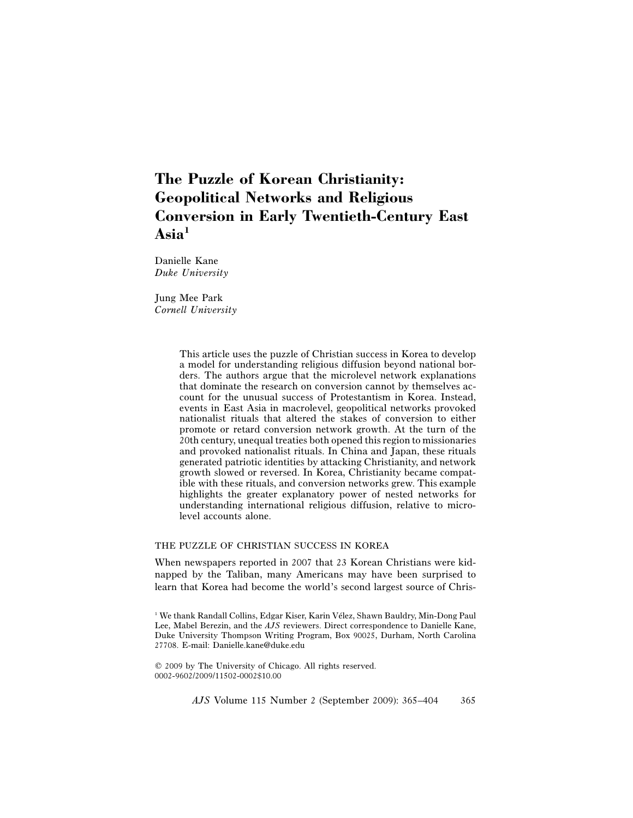# **The Puzzle of Korean Christianity: Geopolitical Networks and Religious Conversion in Early Twentieth-Century East Asia1**

Danielle Kane *Duke University*

Jung Mee Park *Cornell University*

> This article uses the puzzle of Christian success in Korea to develop a model for understanding religious diffusion beyond national borders. The authors argue that the microlevel network explanations that dominate the research on conversion cannot by themselves account for the unusual success of Protestantism in Korea. Instead, events in East Asia in macrolevel, geopolitical networks provoked nationalist rituals that altered the stakes of conversion to either promote or retard conversion network growth. At the turn of the 20th century, unequal treaties both opened this region to missionaries and provoked nationalist rituals. In China and Japan, these rituals generated patriotic identities by attacking Christianity, and network growth slowed or reversed. In Korea, Christianity became compatible with these rituals, and conversion networks grew. This example highlights the greater explanatory power of nested networks for understanding international religious diffusion, relative to microlevel accounts alone.

#### THE PUZZLE OF CHRISTIAN SUCCESS IN KOREA

When newspapers reported in 2007 that 23 Korean Christians were kidnapped by the Taliban, many Americans may have been surprised to learn that Korea had become the world's second largest source of Chris-

<sup>1</sup> We thank Randall Collins, Edgar Kiser, Karin Vélez, Shawn Bauldry, Min-Dong Paul Lee, Mabel Berezin, and the *AJS* reviewers. Direct correspondence to Danielle Kane, Duke University Thompson Writing Program, Box 90025, Durham, North Carolina 27708. E-mail: Danielle.kane@duke.edu

 2009 by The University of Chicago. All rights reserved. 0002-9602/2009/11502-0002\$10.00

*AJS* Volume 115 Number 2 (September 2009): 365–404 365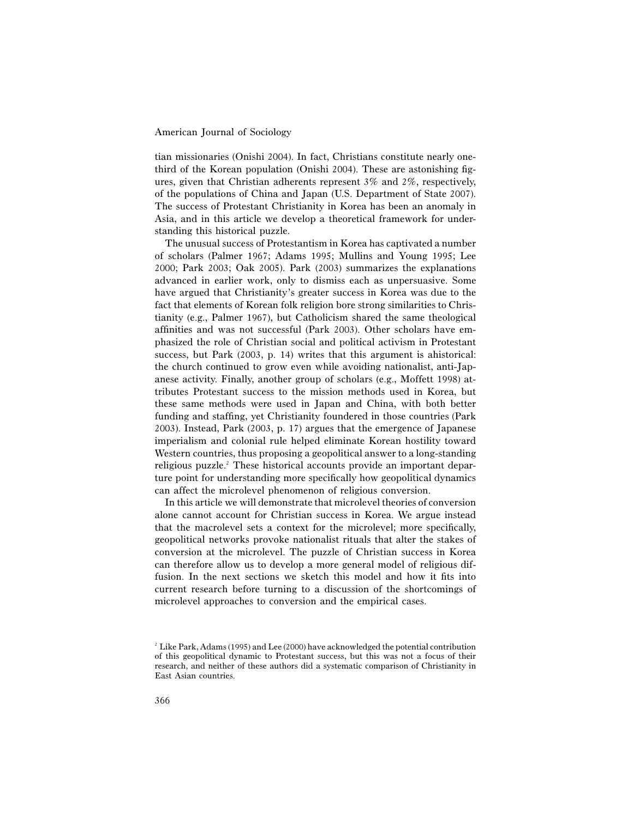tian missionaries (Onishi 2004). In fact, Christians constitute nearly onethird of the Korean population (Onishi 2004). These are astonishing figures, given that Christian adherents represent 3% and 2%, respectively, of the populations of China and Japan (U.S. Department of State 2007). The success of Protestant Christianity in Korea has been an anomaly in Asia, and in this article we develop a theoretical framework for understanding this historical puzzle.

The unusual success of Protestantism in Korea has captivated a number of scholars (Palmer 1967; Adams 1995; Mullins and Young 1995; Lee 2000; Park 2003; Oak 2005). Park (2003) summarizes the explanations advanced in earlier work, only to dismiss each as unpersuasive. Some have argued that Christianity's greater success in Korea was due to the fact that elements of Korean folk religion bore strong similarities to Christianity (e.g., Palmer 1967), but Catholicism shared the same theological affinities and was not successful (Park 2003). Other scholars have emphasized the role of Christian social and political activism in Protestant success, but Park (2003, p. 14) writes that this argument is ahistorical: the church continued to grow even while avoiding nationalist, anti-Japanese activity. Finally, another group of scholars (e.g., Moffett 1998) attributes Protestant success to the mission methods used in Korea, but these same methods were used in Japan and China, with both better funding and staffing, yet Christianity foundered in those countries (Park 2003). Instead, Park (2003, p. 17) argues that the emergence of Japanese imperialism and colonial rule helped eliminate Korean hostility toward Western countries, thus proposing a geopolitical answer to a long-standing religious puzzle.<sup>2</sup> These historical accounts provide an important departure point for understanding more specifically how geopolitical dynamics can affect the microlevel phenomenon of religious conversion.

In this article we will demonstrate that microlevel theories of conversion alone cannot account for Christian success in Korea. We argue instead that the macrolevel sets a context for the microlevel; more specifically, geopolitical networks provoke nationalist rituals that alter the stakes of conversion at the microlevel. The puzzle of Christian success in Korea can therefore allow us to develop a more general model of religious diffusion. In the next sections we sketch this model and how it fits into current research before turning to a discussion of the shortcomings of microlevel approaches to conversion and the empirical cases.

 $2$  Like Park, Adams (1995) and Lee (2000) have acknowledged the potential contribution of this geopolitical dynamic to Protestant success, but this was not a focus of their research, and neither of these authors did a systematic comparison of Christianity in East Asian countries.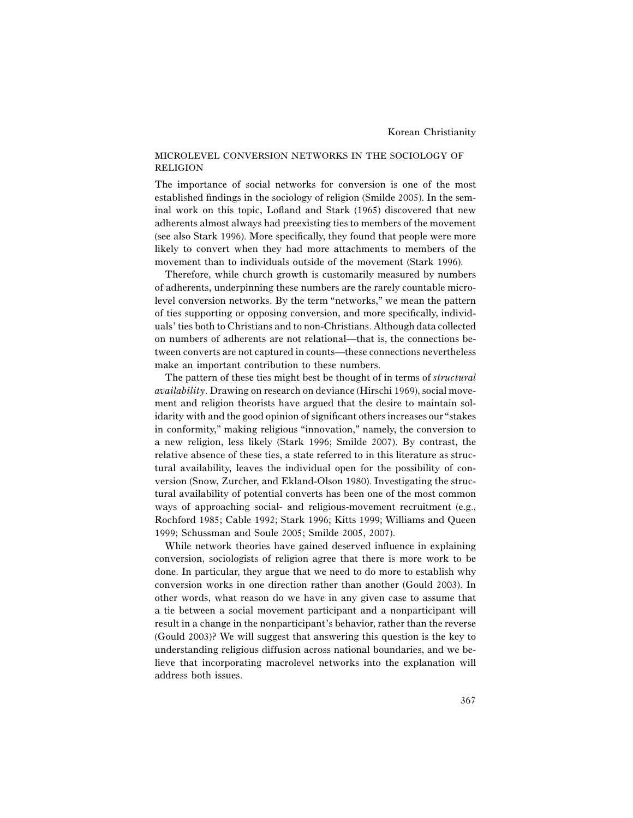# MICROLEVEL CONVERSION NETWORKS IN THE SOCIOLOGY OF RELIGION

The importance of social networks for conversion is one of the most established findings in the sociology of religion (Smilde 2005). In the seminal work on this topic, Lofland and Stark (1965) discovered that new adherents almost always had preexisting ties to members of the movement (see also Stark 1996). More specifically, they found that people were more likely to convert when they had more attachments to members of the movement than to individuals outside of the movement (Stark 1996).

Therefore, while church growth is customarily measured by numbers of adherents, underpinning these numbers are the rarely countable microlevel conversion networks. By the term "networks," we mean the pattern of ties supporting or opposing conversion, and more specifically, individuals' ties both to Christians and to non-Christians. Although data collected on numbers of adherents are not relational—that is, the connections between converts are not captured in counts—these connections nevertheless make an important contribution to these numbers.

The pattern of these ties might best be thought of in terms of *structural availability*. Drawing on research on deviance (Hirschi 1969), social movement and religion theorists have argued that the desire to maintain solidarity with and the good opinion of significant others increases our "stakes in conformity," making religious "innovation," namely, the conversion to a new religion, less likely (Stark 1996; Smilde 2007). By contrast, the relative absence of these ties, a state referred to in this literature as structural availability, leaves the individual open for the possibility of conversion (Snow, Zurcher, and Ekland-Olson 1980). Investigating the structural availability of potential converts has been one of the most common ways of approaching social- and religious-movement recruitment (e.g., Rochford 1985; Cable 1992; Stark 1996; Kitts 1999; Williams and Queen 1999; Schussman and Soule 2005; Smilde 2005, 2007).

While network theories have gained deserved influence in explaining conversion, sociologists of religion agree that there is more work to be done. In particular, they argue that we need to do more to establish why conversion works in one direction rather than another (Gould 2003). In other words, what reason do we have in any given case to assume that a tie between a social movement participant and a nonparticipant will result in a change in the nonparticipant's behavior, rather than the reverse (Gould 2003)? We will suggest that answering this question is the key to understanding religious diffusion across national boundaries, and we believe that incorporating macrolevel networks into the explanation will address both issues.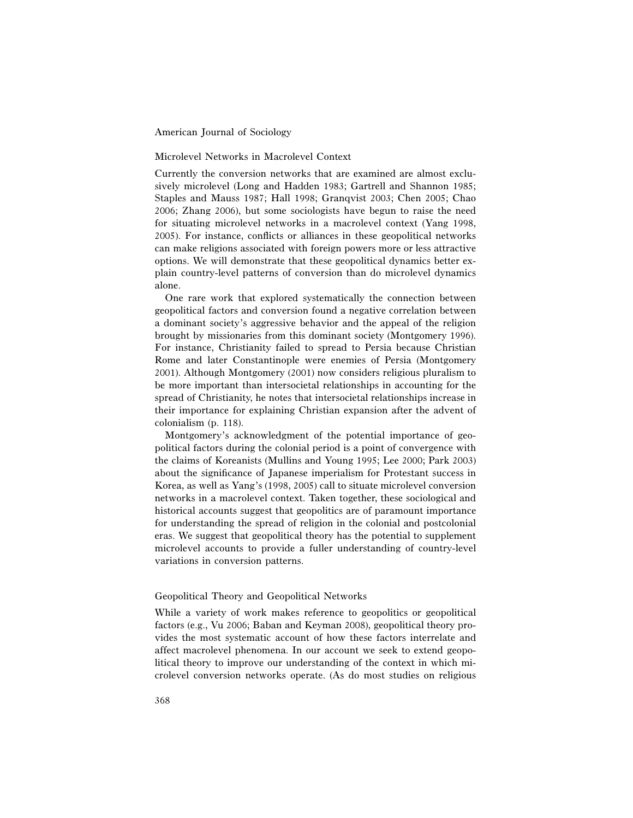#### Microlevel Networks in Macrolevel Context

Currently the conversion networks that are examined are almost exclusively microlevel (Long and Hadden 1983; Gartrell and Shannon 1985; Staples and Mauss 1987; Hall 1998; Granqvist 2003; Chen 2005; Chao 2006; Zhang 2006), but some sociologists have begun to raise the need for situating microlevel networks in a macrolevel context (Yang 1998, 2005). For instance, conflicts or alliances in these geopolitical networks can make religions associated with foreign powers more or less attractive options. We will demonstrate that these geopolitical dynamics better explain country-level patterns of conversion than do microlevel dynamics alone.

One rare work that explored systematically the connection between geopolitical factors and conversion found a negative correlation between a dominant society's aggressive behavior and the appeal of the religion brought by missionaries from this dominant society (Montgomery 1996). For instance, Christianity failed to spread to Persia because Christian Rome and later Constantinople were enemies of Persia (Montgomery 2001). Although Montgomery (2001) now considers religious pluralism to be more important than intersocietal relationships in accounting for the spread of Christianity, he notes that intersocietal relationships increase in their importance for explaining Christian expansion after the advent of colonialism (p. 118).

Montgomery's acknowledgment of the potential importance of geopolitical factors during the colonial period is a point of convergence with the claims of Koreanists (Mullins and Young 1995; Lee 2000; Park 2003) about the significance of Japanese imperialism for Protestant success in Korea, as well as Yang's (1998, 2005) call to situate microlevel conversion networks in a macrolevel context. Taken together, these sociological and historical accounts suggest that geopolitics are of paramount importance for understanding the spread of religion in the colonial and postcolonial eras. We suggest that geopolitical theory has the potential to supplement microlevel accounts to provide a fuller understanding of country-level variations in conversion patterns.

#### Geopolitical Theory and Geopolitical Networks

While a variety of work makes reference to geopolitics or geopolitical factors (e.g., Vu 2006; Baban and Keyman 2008), geopolitical theory provides the most systematic account of how these factors interrelate and affect macrolevel phenomena. In our account we seek to extend geopolitical theory to improve our understanding of the context in which microlevel conversion networks operate. (As do most studies on religious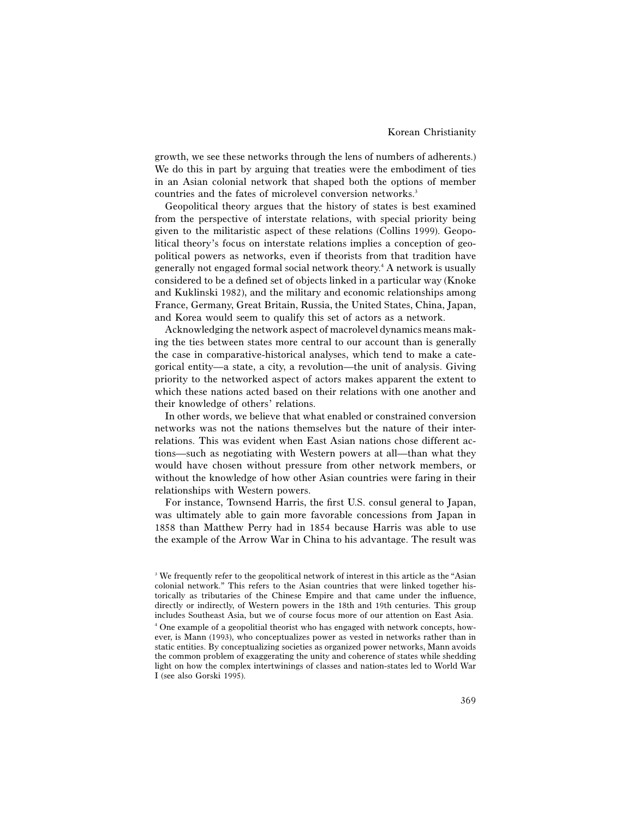growth, we see these networks through the lens of numbers of adherents.) We do this in part by arguing that treaties were the embodiment of ties in an Asian colonial network that shaped both the options of member countries and the fates of microlevel conversion networks.<sup>3</sup>

Geopolitical theory argues that the history of states is best examined from the perspective of interstate relations, with special priority being given to the militaristic aspect of these relations (Collins 1999). Geopolitical theory's focus on interstate relations implies a conception of geopolitical powers as networks, even if theorists from that tradition have generally not engaged formal social network theory.4 A network is usually considered to be a defined set of objects linked in a particular way (Knoke and Kuklinski 1982), and the military and economic relationships among France, Germany, Great Britain, Russia, the United States, China, Japan, and Korea would seem to qualify this set of actors as a network.

Acknowledging the network aspect of macrolevel dynamics means making the ties between states more central to our account than is generally the case in comparative-historical analyses, which tend to make a categorical entity—a state, a city, a revolution—the unit of analysis. Giving priority to the networked aspect of actors makes apparent the extent to which these nations acted based on their relations with one another and their knowledge of others' relations.

In other words, we believe that what enabled or constrained conversion networks was not the nations themselves but the nature of their interrelations. This was evident when East Asian nations chose different actions—such as negotiating with Western powers at all—than what they would have chosen without pressure from other network members, or without the knowledge of how other Asian countries were faring in their relationships with Western powers.

For instance, Townsend Harris, the first U.S. consul general to Japan, was ultimately able to gain more favorable concessions from Japan in 1858 than Matthew Perry had in 1854 because Harris was able to use the example of the Arrow War in China to his advantage. The result was

<sup>&</sup>lt;sup>3</sup> We frequently refer to the geopolitical network of interest in this article as the "Asian colonial network." This refers to the Asian countries that were linked together historically as tributaries of the Chinese Empire and that came under the influence, directly or indirectly, of Western powers in the 18th and 19th centuries. This group includes Southeast Asia, but we of course focus more of our attention on East Asia. <sup>4</sup> One example of a geopolitial theorist who has engaged with network concepts, however, is Mann (1993), who conceptualizes power as vested in networks rather than in static entities. By conceptualizing societies as organized power networks, Mann avoids the common problem of exaggerating the unity and coherence of states while shedding light on how the complex intertwinings of classes and nation-states led to World War I (see also Gorski 1995).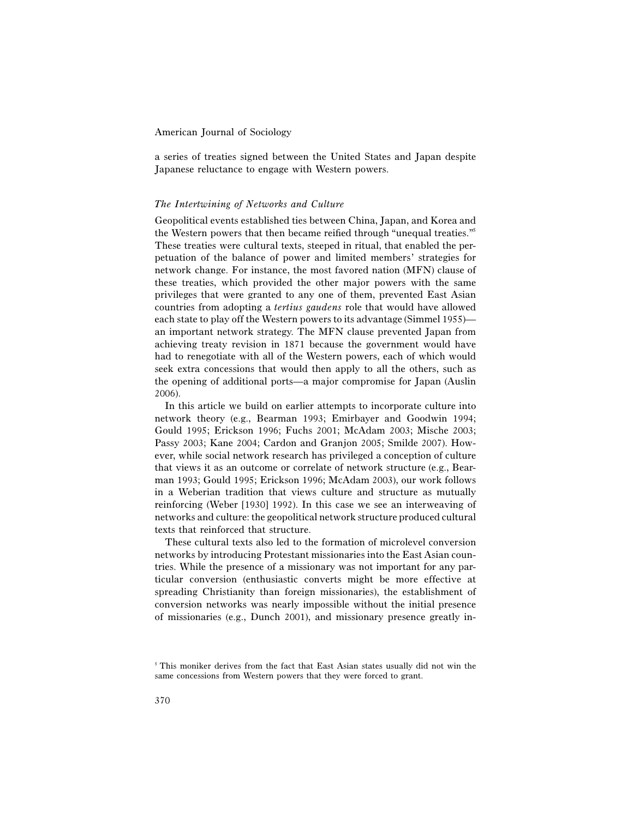a series of treaties signed between the United States and Japan despite Japanese reluctance to engage with Western powers.

## *The Intertwining of Networks and Culture*

Geopolitical events established ties between China, Japan, and Korea and the Western powers that then became reified through "unequal treaties."5 These treaties were cultural texts, steeped in ritual, that enabled the perpetuation of the balance of power and limited members' strategies for network change. For instance, the most favored nation (MFN) clause of these treaties, which provided the other major powers with the same privileges that were granted to any one of them, prevented East Asian countries from adopting a *tertius gaudens* role that would have allowed each state to play off the Western powers to its advantage (Simmel 1955) an important network strategy. The MFN clause prevented Japan from achieving treaty revision in 1871 because the government would have had to renegotiate with all of the Western powers, each of which would seek extra concessions that would then apply to all the others, such as the opening of additional ports—a major compromise for Japan (Auslin 2006).

In this article we build on earlier attempts to incorporate culture into network theory (e.g., Bearman 1993; Emirbayer and Goodwin 1994; Gould 1995; Erickson 1996; Fuchs 2001; McAdam 2003; Mische 2003; Passy 2003; Kane 2004; Cardon and Granjon 2005; Smilde 2007). However, while social network research has privileged a conception of culture that views it as an outcome or correlate of network structure (e.g., Bearman 1993; Gould 1995; Erickson 1996; McAdam 2003), our work follows in a Weberian tradition that views culture and structure as mutually reinforcing (Weber [1930] 1992). In this case we see an interweaving of networks and culture: the geopolitical network structure produced cultural texts that reinforced that structure.

These cultural texts also led to the formation of microlevel conversion networks by introducing Protestant missionaries into the East Asian countries. While the presence of a missionary was not important for any particular conversion (enthusiastic converts might be more effective at spreading Christianity than foreign missionaries), the establishment of conversion networks was nearly impossible without the initial presence of missionaries (e.g., Dunch 2001), and missionary presence greatly in-

<sup>&</sup>lt;sup>5</sup> This moniker derives from the fact that East Asian states usually did not win the same concessions from Western powers that they were forced to grant.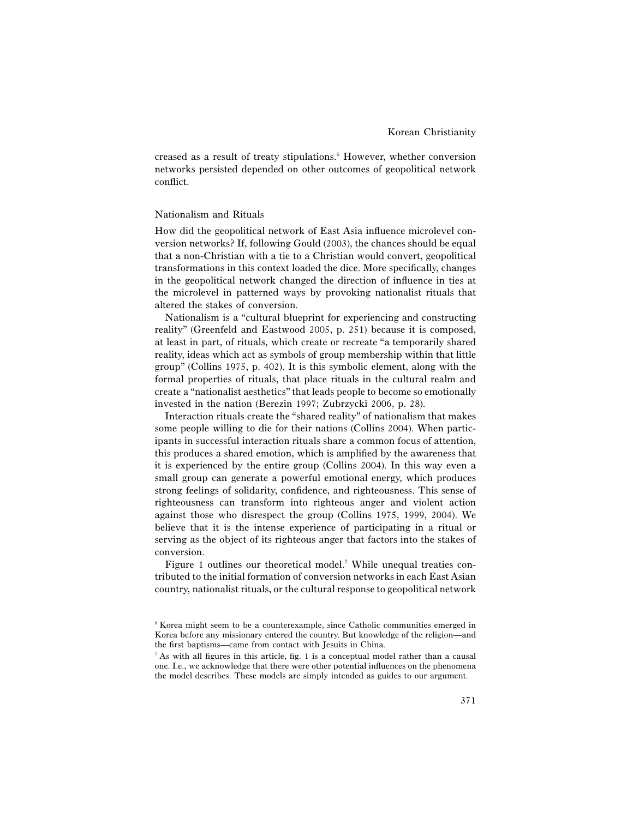creased as a result of treaty stipulations.6 However, whether conversion networks persisted depended on other outcomes of geopolitical network conflict.

## Nationalism and Rituals

How did the geopolitical network of East Asia influence microlevel conversion networks? If, following Gould (2003), the chances should be equal that a non-Christian with a tie to a Christian would convert, geopolitical transformations in this context loaded the dice. More specifically, changes in the geopolitical network changed the direction of influence in ties at the microlevel in patterned ways by provoking nationalist rituals that altered the stakes of conversion.

Nationalism is a "cultural blueprint for experiencing and constructing reality" (Greenfeld and Eastwood 2005, p. 251) because it is composed, at least in part, of rituals, which create or recreate "a temporarily shared reality, ideas which act as symbols of group membership within that little group" (Collins 1975, p. 402). It is this symbolic element, along with the formal properties of rituals, that place rituals in the cultural realm and create a "nationalist aesthetics" that leads people to become so emotionally invested in the nation (Berezin 1997; Zubrzycki 2006, p. 28).

Interaction rituals create the "shared reality" of nationalism that makes some people willing to die for their nations (Collins 2004). When participants in successful interaction rituals share a common focus of attention, this produces a shared emotion, which is amplified by the awareness that it is experienced by the entire group (Collins 2004). In this way even a small group can generate a powerful emotional energy, which produces strong feelings of solidarity, confidence, and righteousness. This sense of righteousness can transform into righteous anger and violent action against those who disrespect the group (Collins 1975, 1999, 2004). We believe that it is the intense experience of participating in a ritual or serving as the object of its righteous anger that factors into the stakes of conversion.

Figure 1 outlines our theoretical model.<sup>7</sup> While unequal treaties contributed to the initial formation of conversion networks in each East Asian country, nationalist rituals, or the cultural response to geopolitical network

<sup>6</sup> Korea might seem to be a counterexample, since Catholic communities emerged in Korea before any missionary entered the country. But knowledge of the religion—and the first baptisms—came from contact with Jesuits in China.

<sup>7</sup> As with all figures in this article, fig. 1 is a conceptual model rather than a causal one. I.e., we acknowledge that there were other potential influences on the phenomena the model describes. These models are simply intended as guides to our argument.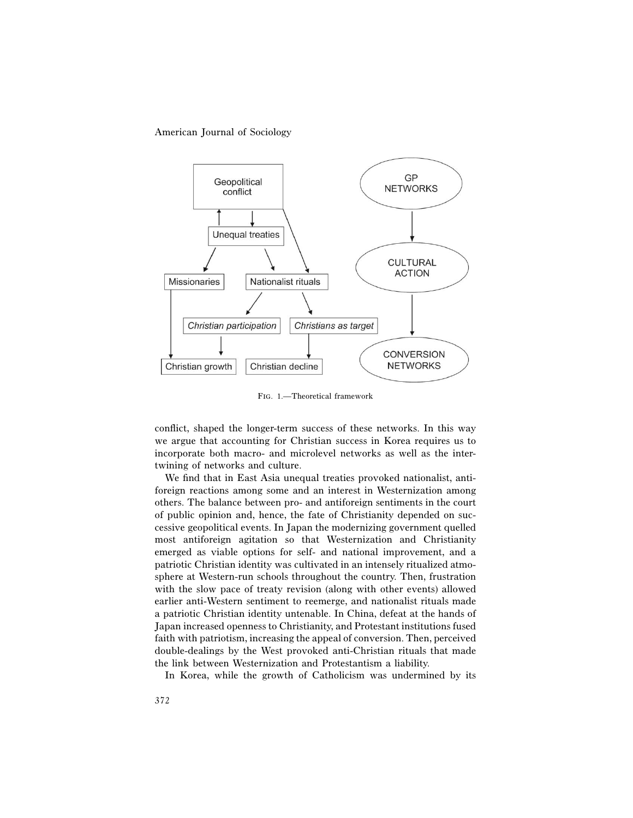

Fig. 1.—Theoretical framework

conflict, shaped the longer-term success of these networks. In this way we argue that accounting for Christian success in Korea requires us to incorporate both macro- and microlevel networks as well as the intertwining of networks and culture.

We find that in East Asia unequal treaties provoked nationalist, antiforeign reactions among some and an interest in Westernization among others. The balance between pro- and antiforeign sentiments in the court of public opinion and, hence, the fate of Christianity depended on successive geopolitical events. In Japan the modernizing government quelled most antiforeign agitation so that Westernization and Christianity emerged as viable options for self- and national improvement, and a patriotic Christian identity was cultivated in an intensely ritualized atmosphere at Western-run schools throughout the country. Then, frustration with the slow pace of treaty revision (along with other events) allowed earlier anti-Western sentiment to reemerge, and nationalist rituals made a patriotic Christian identity untenable. In China, defeat at the hands of Japan increased openness to Christianity, and Protestant institutions fused faith with patriotism, increasing the appeal of conversion. Then, perceived double-dealings by the West provoked anti-Christian rituals that made the link between Westernization and Protestantism a liability.

In Korea, while the growth of Catholicism was undermined by its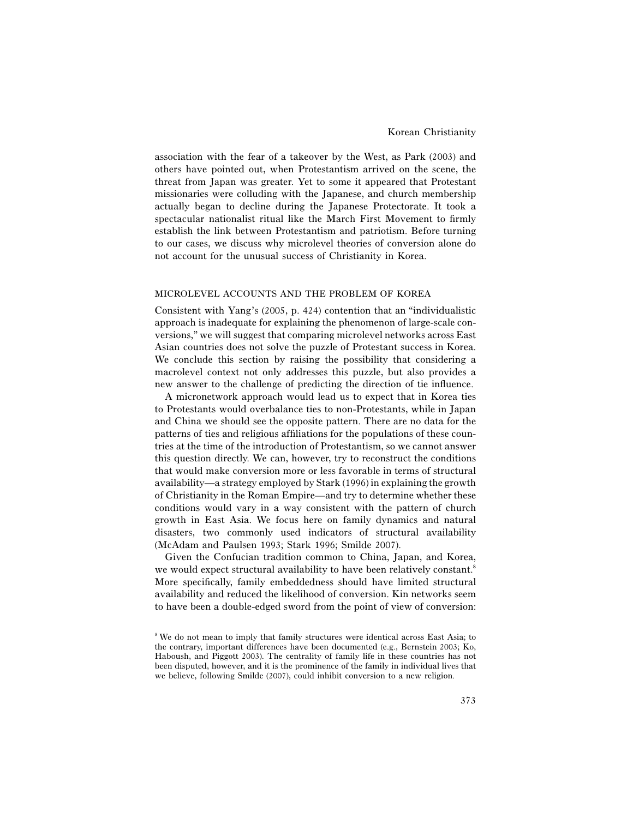association with the fear of a takeover by the West, as Park (2003) and others have pointed out, when Protestantism arrived on the scene, the threat from Japan was greater. Yet to some it appeared that Protestant missionaries were colluding with the Japanese, and church membership actually began to decline during the Japanese Protectorate. It took a spectacular nationalist ritual like the March First Movement to firmly establish the link between Protestantism and patriotism. Before turning to our cases, we discuss why microlevel theories of conversion alone do not account for the unusual success of Christianity in Korea.

#### MICROLEVEL ACCOUNTS AND THE PROBLEM OF KOREA

Consistent with Yang's (2005, p. 424) contention that an "individualistic approach is inadequate for explaining the phenomenon of large-scale conversions," we will suggest that comparing microlevel networks across East Asian countries does not solve the puzzle of Protestant success in Korea. We conclude this section by raising the possibility that considering a macrolevel context not only addresses this puzzle, but also provides a new answer to the challenge of predicting the direction of tie influence.

A micronetwork approach would lead us to expect that in Korea ties to Protestants would overbalance ties to non-Protestants, while in Japan and China we should see the opposite pattern. There are no data for the patterns of ties and religious affiliations for the populations of these countries at the time of the introduction of Protestantism, so we cannot answer this question directly. We can, however, try to reconstruct the conditions that would make conversion more or less favorable in terms of structural availability—a strategy employed by Stark (1996) in explaining the growth of Christianity in the Roman Empire—and try to determine whether these conditions would vary in a way consistent with the pattern of church growth in East Asia. We focus here on family dynamics and natural disasters, two commonly used indicators of structural availability (McAdam and Paulsen 1993; Stark 1996; Smilde 2007).

Given the Confucian tradition common to China, Japan, and Korea, we would expect structural availability to have been relatively constant.<sup>8</sup> More specifically, family embeddedness should have limited structural availability and reduced the likelihood of conversion. Kin networks seem to have been a double-edged sword from the point of view of conversion:

<sup>&</sup>lt;sup>8</sup> We do not mean to imply that family structures were identical across East Asia; to the contrary, important differences have been documented (e.g., Bernstein 2003; Ko, Haboush, and Piggott 2003). The centrality of family life in these countries has not been disputed, however, and it is the prominence of the family in individual lives that we believe, following Smilde (2007), could inhibit conversion to a new religion.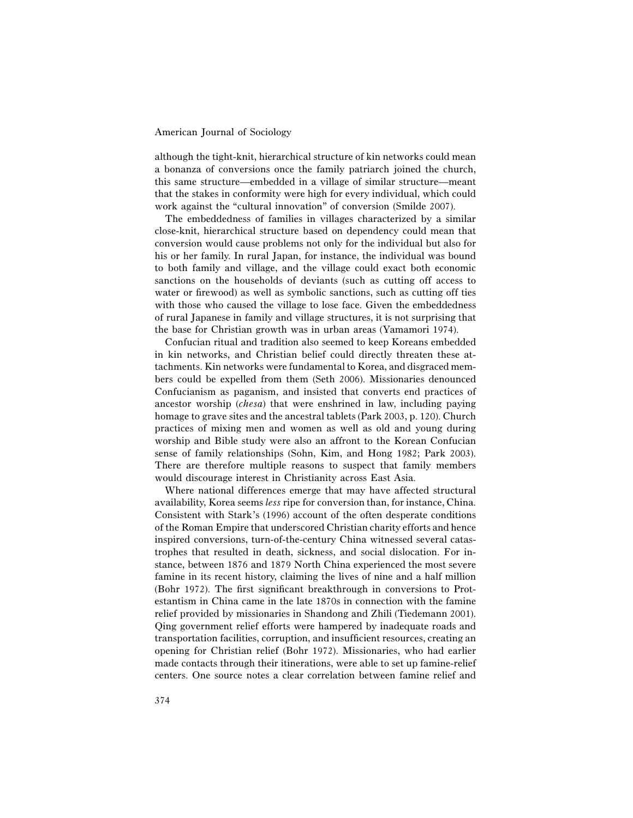although the tight-knit, hierarchical structure of kin networks could mean a bonanza of conversions once the family patriarch joined the church, this same structure—embedded in a village of similar structure—meant that the stakes in conformity were high for every individual, which could work against the "cultural innovation" of conversion (Smilde 2007).

The embeddedness of families in villages characterized by a similar close-knit, hierarchical structure based on dependency could mean that conversion would cause problems not only for the individual but also for his or her family. In rural Japan, for instance, the individual was bound to both family and village, and the village could exact both economic sanctions on the households of deviants (such as cutting off access to water or firewood) as well as symbolic sanctions, such as cutting off ties with those who caused the village to lose face. Given the embeddedness of rural Japanese in family and village structures, it is not surprising that the base for Christian growth was in urban areas (Yamamori 1974).

Confucian ritual and tradition also seemed to keep Koreans embedded in kin networks, and Christian belief could directly threaten these attachments. Kin networks were fundamental to Korea, and disgraced members could be expelled from them (Seth 2006). Missionaries denounced Confucianism as paganism, and insisted that converts end practices of ancestor worship (*chesa*) that were enshrined in law, including paying homage to grave sites and the ancestral tablets (Park 2003, p. 120). Church practices of mixing men and women as well as old and young during worship and Bible study were also an affront to the Korean Confucian sense of family relationships (Sohn, Kim, and Hong 1982; Park 2003). There are therefore multiple reasons to suspect that family members would discourage interest in Christianity across East Asia.

Where national differences emerge that may have affected structural availability, Korea seems *less* ripe for conversion than, for instance, China. Consistent with Stark's (1996) account of the often desperate conditions of the Roman Empire that underscored Christian charity efforts and hence inspired conversions, turn-of-the-century China witnessed several catastrophes that resulted in death, sickness, and social dislocation. For instance, between 1876 and 1879 North China experienced the most severe famine in its recent history, claiming the lives of nine and a half million (Bohr 1972). The first significant breakthrough in conversions to Protestantism in China came in the late 1870s in connection with the famine relief provided by missionaries in Shandong and Zhili (Tiedemann 2001). Qing government relief efforts were hampered by inadequate roads and transportation facilities, corruption, and insufficient resources, creating an opening for Christian relief (Bohr 1972). Missionaries, who had earlier made contacts through their itinerations, were able to set up famine-relief centers. One source notes a clear correlation between famine relief and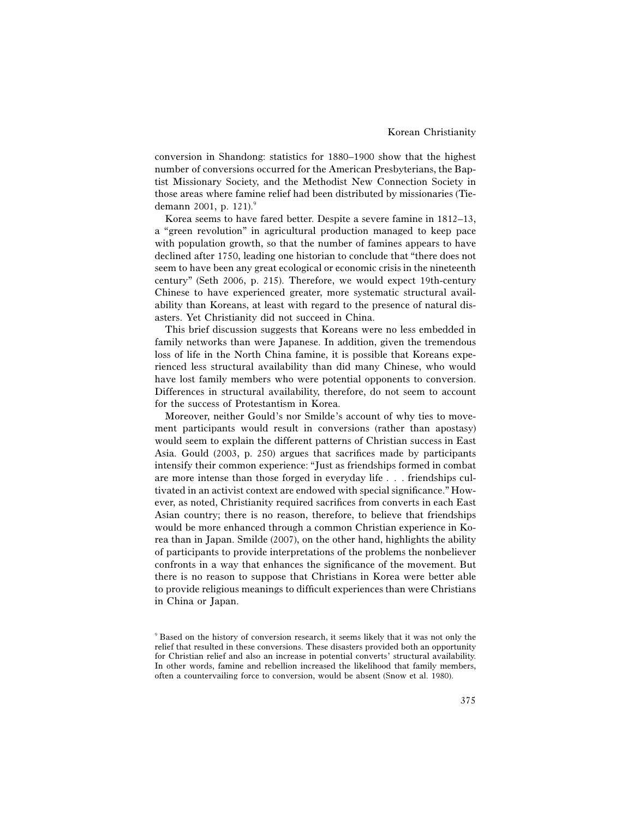conversion in Shandong: statistics for 1880–1900 show that the highest number of conversions occurred for the American Presbyterians, the Baptist Missionary Society, and the Methodist New Connection Society in those areas where famine relief had been distributed by missionaries (Tiedemann 2001, p. 121).9

Korea seems to have fared better. Despite a severe famine in 1812–13, a "green revolution" in agricultural production managed to keep pace with population growth, so that the number of famines appears to have declined after 1750, leading one historian to conclude that "there does not seem to have been any great ecological or economic crisis in the nineteenth century" (Seth 2006, p. 215). Therefore, we would expect 19th-century Chinese to have experienced greater, more systematic structural availability than Koreans, at least with regard to the presence of natural disasters. Yet Christianity did not succeed in China.

This brief discussion suggests that Koreans were no less embedded in family networks than were Japanese. In addition, given the tremendous loss of life in the North China famine, it is possible that Koreans experienced less structural availability than did many Chinese, who would have lost family members who were potential opponents to conversion. Differences in structural availability, therefore, do not seem to account for the success of Protestantism in Korea.

Moreover, neither Gould's nor Smilde's account of why ties to movement participants would result in conversions (rather than apostasy) would seem to explain the different patterns of Christian success in East Asia. Gould (2003, p. 250) argues that sacrifices made by participants intensify their common experience: "Just as friendships formed in combat are more intense than those forged in everyday life . . . friendships cultivated in an activist context are endowed with special significance." However, as noted, Christianity required sacrifices from converts in each East Asian country; there is no reason, therefore, to believe that friendships would be more enhanced through a common Christian experience in Korea than in Japan. Smilde (2007), on the other hand, highlights the ability of participants to provide interpretations of the problems the nonbeliever confronts in a way that enhances the significance of the movement. But there is no reason to suppose that Christians in Korea were better able to provide religious meanings to difficult experiences than were Christians in China or Japan.

<sup>9</sup> Based on the history of conversion research, it seems likely that it was not only the relief that resulted in these conversions. These disasters provided both an opportunity for Christian relief and also an increase in potential converts' structural availability. In other words, famine and rebellion increased the likelihood that family members, often a countervailing force to conversion, would be absent (Snow et al. 1980).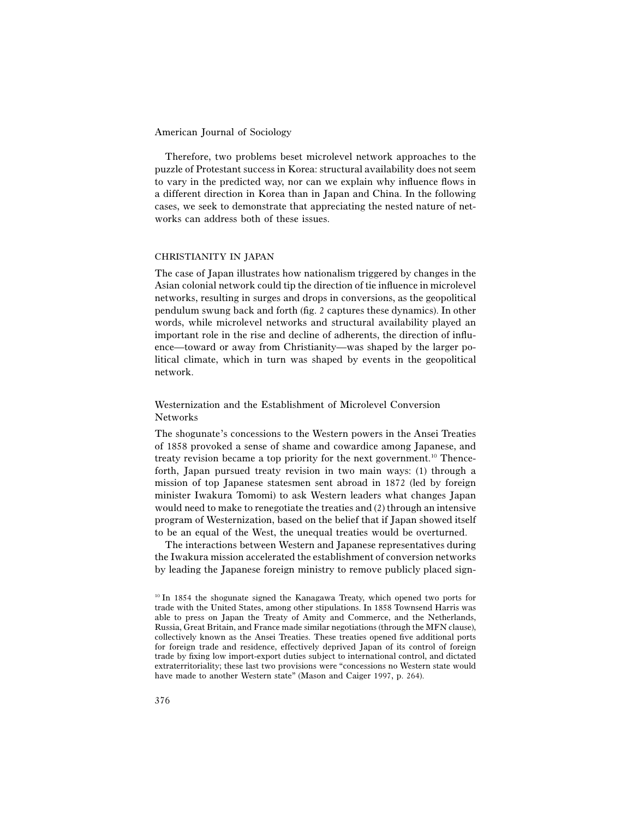Therefore, two problems beset microlevel network approaches to the puzzle of Protestant success in Korea: structural availability does not seem to vary in the predicted way, nor can we explain why influence flows in a different direction in Korea than in Japan and China. In the following cases, we seek to demonstrate that appreciating the nested nature of networks can address both of these issues.

# CHRISTIANITY IN JAPAN

The case of Japan illustrates how nationalism triggered by changes in the Asian colonial network could tip the direction of tie influence in microlevel networks, resulting in surges and drops in conversions, as the geopolitical pendulum swung back and forth (fig. 2 captures these dynamics). In other words, while microlevel networks and structural availability played an important role in the rise and decline of adherents, the direction of influence—toward or away from Christianity—was shaped by the larger political climate, which in turn was shaped by events in the geopolitical network.

# Westernization and the Establishment of Microlevel Conversion Networks

The shogunate's concessions to the Western powers in the Ansei Treaties of 1858 provoked a sense of shame and cowardice among Japanese, and treaty revision became a top priority for the next government.10 Thenceforth, Japan pursued treaty revision in two main ways: (1) through a mission of top Japanese statesmen sent abroad in 1872 (led by foreign minister Iwakura Tomomi) to ask Western leaders what changes Japan would need to make to renegotiate the treaties and (2) through an intensive program of Westernization, based on the belief that if Japan showed itself to be an equal of the West, the unequal treaties would be overturned.

The interactions between Western and Japanese representatives during the Iwakura mission accelerated the establishment of conversion networks by leading the Japanese foreign ministry to remove publicly placed sign-

<sup>&</sup>lt;sup>10</sup> In 1854 the shogunate signed the Kanagawa Treaty, which opened two ports for trade with the United States, among other stipulations. In 1858 Townsend Harris was able to press on Japan the Treaty of Amity and Commerce, and the Netherlands, Russia, Great Britain, and France made similar negotiations (through the MFN clause), collectively known as the Ansei Treaties. These treaties opened five additional ports for foreign trade and residence, effectively deprived Japan of its control of foreign trade by fixing low import-export duties subject to international control, and dictated extraterritoriality; these last two provisions were "concessions no Western state would have made to another Western state" (Mason and Caiger 1997, p. 264).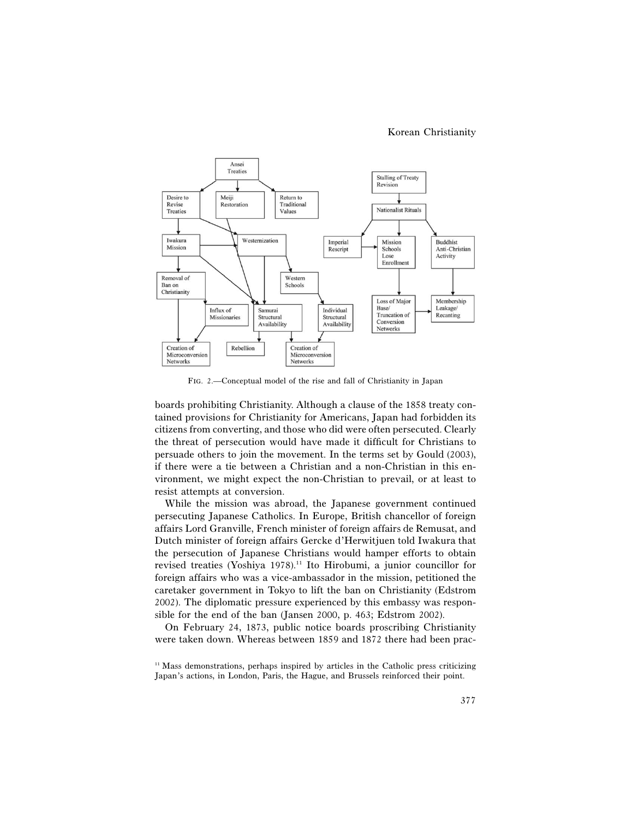#### Korean Christianity



Fig. 2.—Conceptual model of the rise and fall of Christianity in Japan

boards prohibiting Christianity. Although a clause of the 1858 treaty contained provisions for Christianity for Americans, Japan had forbidden its citizens from converting, and those who did were often persecuted. Clearly the threat of persecution would have made it difficult for Christians to persuade others to join the movement. In the terms set by Gould (2003), if there were a tie between a Christian and a non-Christian in this environment, we might expect the non-Christian to prevail, or at least to resist attempts at conversion.

While the mission was abroad, the Japanese government continued persecuting Japanese Catholics. In Europe, British chancellor of foreign affairs Lord Granville, French minister of foreign affairs de Remusat, and Dutch minister of foreign affairs Gercke d'Herwitjuen told Iwakura that the persecution of Japanese Christians would hamper efforts to obtain revised treaties (Yoshiya 1978).<sup>11</sup> Ito Hirobumi, a junior councillor for foreign affairs who was a vice-ambassador in the mission, petitioned the caretaker government in Tokyo to lift the ban on Christianity (Edstrom 2002). The diplomatic pressure experienced by this embassy was responsible for the end of the ban (Jansen 2000, p. 463; Edstrom 2002).

On February 24, 1873, public notice boards proscribing Christianity were taken down. Whereas between 1859 and 1872 there had been prac-

<sup>&</sup>lt;sup>11</sup> Mass demonstrations, perhaps inspired by articles in the Catholic press criticizing Japan's actions, in London, Paris, the Hague, and Brussels reinforced their point.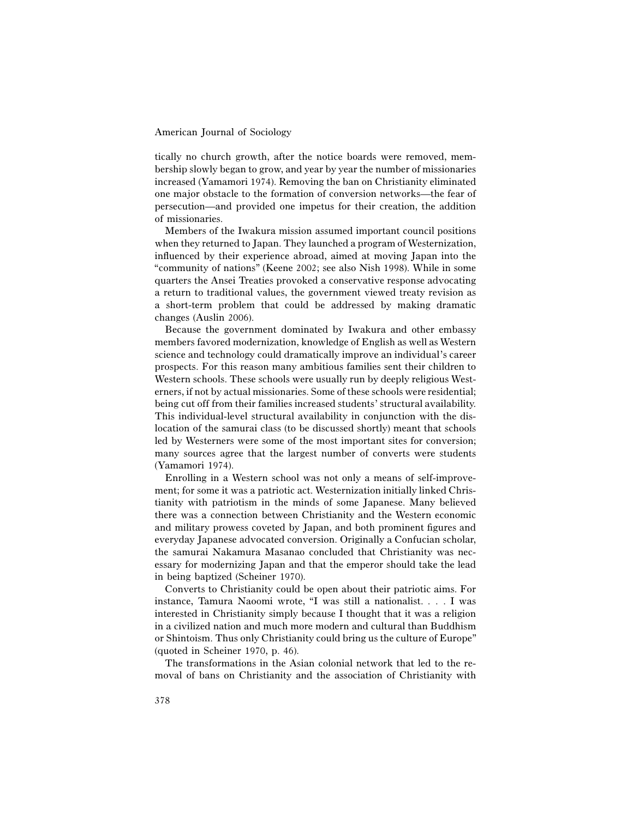tically no church growth, after the notice boards were removed, membership slowly began to grow, and year by year the number of missionaries increased (Yamamori 1974). Removing the ban on Christianity eliminated one major obstacle to the formation of conversion networks—the fear of persecution—and provided one impetus for their creation, the addition of missionaries.

Members of the Iwakura mission assumed important council positions when they returned to Japan. They launched a program of Westernization, influenced by their experience abroad, aimed at moving Japan into the "community of nations" (Keene 2002; see also Nish 1998). While in some quarters the Ansei Treaties provoked a conservative response advocating a return to traditional values, the government viewed treaty revision as a short-term problem that could be addressed by making dramatic changes (Auslin 2006).

Because the government dominated by Iwakura and other embassy members favored modernization, knowledge of English as well as Western science and technology could dramatically improve an individual's career prospects. For this reason many ambitious families sent their children to Western schools. These schools were usually run by deeply religious Westerners, if not by actual missionaries. Some of these schools were residential; being cut off from their families increased students' structural availability. This individual-level structural availability in conjunction with the dislocation of the samurai class (to be discussed shortly) meant that schools led by Westerners were some of the most important sites for conversion; many sources agree that the largest number of converts were students (Yamamori 1974).

Enrolling in a Western school was not only a means of self-improvement; for some it was a patriotic act. Westernization initially linked Christianity with patriotism in the minds of some Japanese. Many believed there was a connection between Christianity and the Western economic and military prowess coveted by Japan, and both prominent figures and everyday Japanese advocated conversion. Originally a Confucian scholar, the samurai Nakamura Masanao concluded that Christianity was necessary for modernizing Japan and that the emperor should take the lead in being baptized (Scheiner 1970).

Converts to Christianity could be open about their patriotic aims. For instance, Tamura Naoomi wrote, "I was still a nationalist. . . . I was interested in Christianity simply because I thought that it was a religion in a civilized nation and much more modern and cultural than Buddhism or Shintoism. Thus only Christianity could bring us the culture of Europe" (quoted in Scheiner 1970, p. 46).

The transformations in the Asian colonial network that led to the removal of bans on Christianity and the association of Christianity with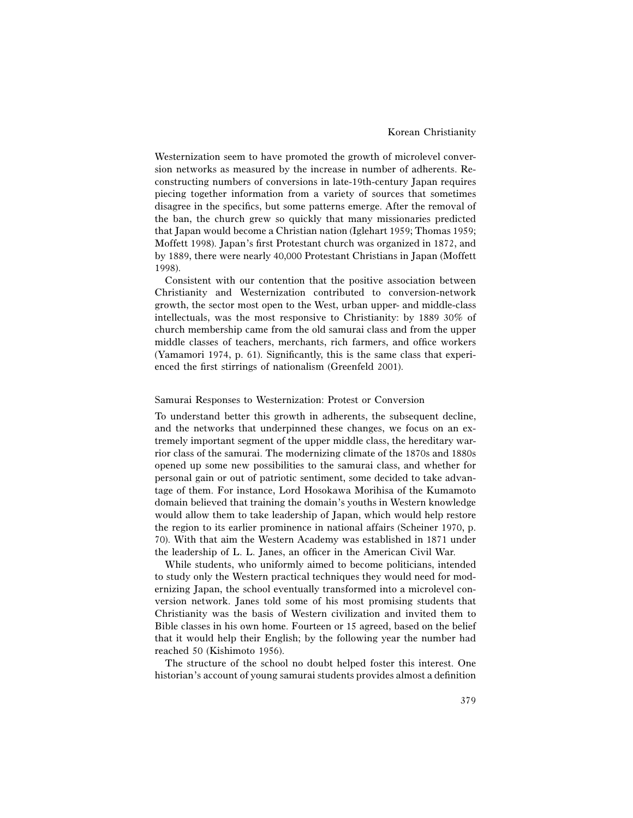#### Korean Christianity

Westernization seem to have promoted the growth of microlevel conversion networks as measured by the increase in number of adherents. Reconstructing numbers of conversions in late-19th-century Japan requires piecing together information from a variety of sources that sometimes disagree in the specifics, but some patterns emerge. After the removal of the ban, the church grew so quickly that many missionaries predicted that Japan would become a Christian nation (Iglehart 1959; Thomas 1959; Moffett 1998). Japan's first Protestant church was organized in 1872, and by 1889, there were nearly 40,000 Protestant Christians in Japan (Moffett 1998).

Consistent with our contention that the positive association between Christianity and Westernization contributed to conversion-network growth, the sector most open to the West, urban upper- and middle-class intellectuals, was the most responsive to Christianity: by 1889 30% of church membership came from the old samurai class and from the upper middle classes of teachers, merchants, rich farmers, and office workers (Yamamori 1974, p. 61). Significantly, this is the same class that experienced the first stirrings of nationalism (Greenfeld 2001).

#### Samurai Responses to Westernization: Protest or Conversion

To understand better this growth in adherents, the subsequent decline, and the networks that underpinned these changes, we focus on an extremely important segment of the upper middle class, the hereditary warrior class of the samurai. The modernizing climate of the 1870s and 1880s opened up some new possibilities to the samurai class, and whether for personal gain or out of patriotic sentiment, some decided to take advantage of them. For instance, Lord Hosokawa Morihisa of the Kumamoto domain believed that training the domain's youths in Western knowledge would allow them to take leadership of Japan, which would help restore the region to its earlier prominence in national affairs (Scheiner 1970, p. 70). With that aim the Western Academy was established in 1871 under the leadership of L. L. Janes, an officer in the American Civil War.

While students, who uniformly aimed to become politicians, intended to study only the Western practical techniques they would need for modernizing Japan, the school eventually transformed into a microlevel conversion network. Janes told some of his most promising students that Christianity was the basis of Western civilization and invited them to Bible classes in his own home. Fourteen or 15 agreed, based on the belief that it would help their English; by the following year the number had reached 50 (Kishimoto 1956).

The structure of the school no doubt helped foster this interest. One historian's account of young samurai students provides almost a definition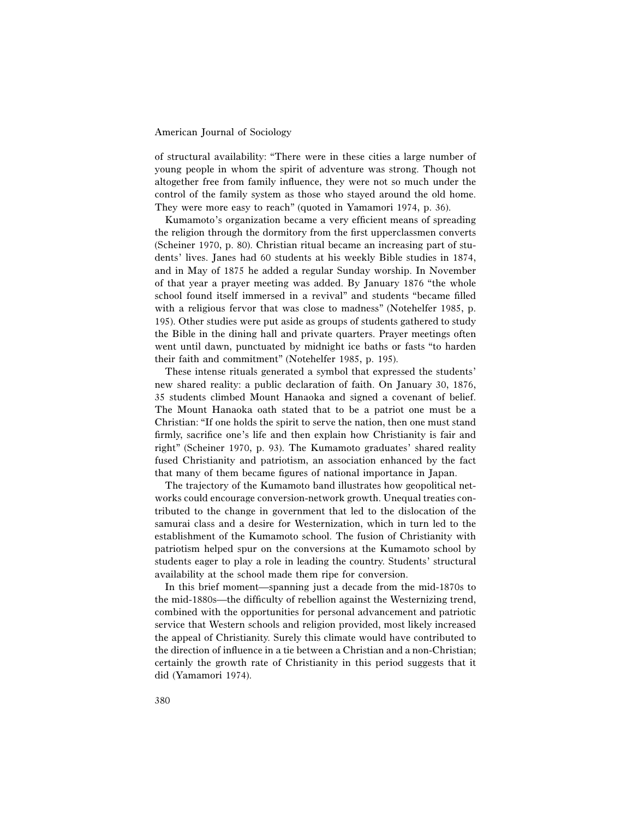of structural availability: "There were in these cities a large number of young people in whom the spirit of adventure was strong. Though not altogether free from family influence, they were not so much under the control of the family system as those who stayed around the old home. They were more easy to reach" (quoted in Yamamori 1974, p. 36).

Kumamoto's organization became a very efficient means of spreading the religion through the dormitory from the first upperclassmen converts (Scheiner 1970, p. 80). Christian ritual became an increasing part of students' lives. Janes had 60 students at his weekly Bible studies in 1874, and in May of 1875 he added a regular Sunday worship. In November of that year a prayer meeting was added. By January 1876 "the whole school found itself immersed in a revival" and students "became filled with a religious fervor that was close to madness" (Notehelfer 1985, p. 195). Other studies were put aside as groups of students gathered to study the Bible in the dining hall and private quarters. Prayer meetings often went until dawn, punctuated by midnight ice baths or fasts "to harden their faith and commitment" (Notehelfer 1985, p. 195).

These intense rituals generated a symbol that expressed the students' new shared reality: a public declaration of faith. On January 30, 1876, 35 students climbed Mount Hanaoka and signed a covenant of belief. The Mount Hanaoka oath stated that to be a patriot one must be a Christian: "If one holds the spirit to serve the nation, then one must stand firmly, sacrifice one's life and then explain how Christianity is fair and right" (Scheiner 1970, p. 93). The Kumamoto graduates' shared reality fused Christianity and patriotism, an association enhanced by the fact that many of them became figures of national importance in Japan.

The trajectory of the Kumamoto band illustrates how geopolitical networks could encourage conversion-network growth. Unequal treaties contributed to the change in government that led to the dislocation of the samurai class and a desire for Westernization, which in turn led to the establishment of the Kumamoto school. The fusion of Christianity with patriotism helped spur on the conversions at the Kumamoto school by students eager to play a role in leading the country. Students' structural availability at the school made them ripe for conversion.

In this brief moment—spanning just a decade from the mid-1870s to the mid-1880s—the difficulty of rebellion against the Westernizing trend, combined with the opportunities for personal advancement and patriotic service that Western schools and religion provided, most likely increased the appeal of Christianity. Surely this climate would have contributed to the direction of influence in a tie between a Christian and a non-Christian; certainly the growth rate of Christianity in this period suggests that it did (Yamamori 1974).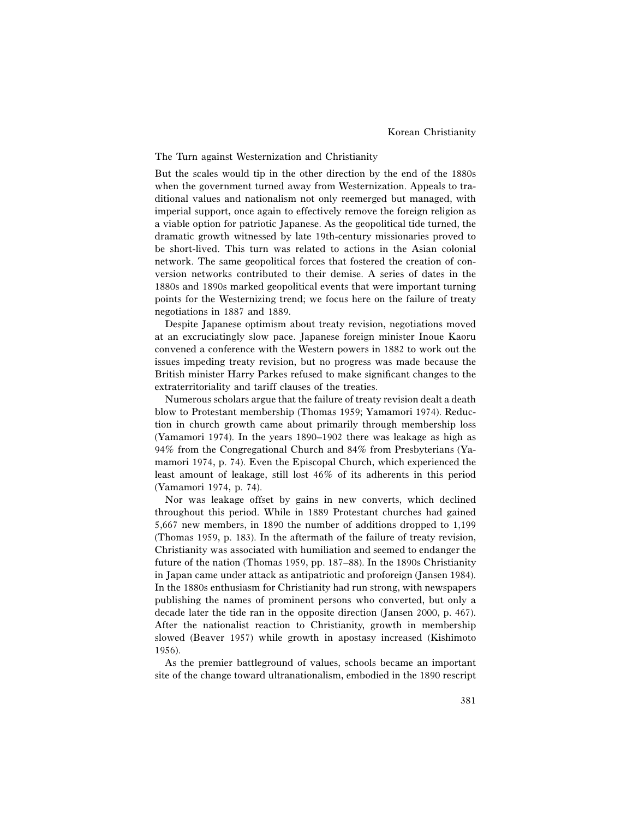#### The Turn against Westernization and Christianity

But the scales would tip in the other direction by the end of the 1880s when the government turned away from Westernization. Appeals to traditional values and nationalism not only reemerged but managed, with imperial support, once again to effectively remove the foreign religion as a viable option for patriotic Japanese. As the geopolitical tide turned, the dramatic growth witnessed by late 19th-century missionaries proved to be short-lived. This turn was related to actions in the Asian colonial network. The same geopolitical forces that fostered the creation of conversion networks contributed to their demise. A series of dates in the 1880s and 1890s marked geopolitical events that were important turning points for the Westernizing trend; we focus here on the failure of treaty negotiations in 1887 and 1889.

Despite Japanese optimism about treaty revision, negotiations moved at an excruciatingly slow pace. Japanese foreign minister Inoue Kaoru convened a conference with the Western powers in 1882 to work out the issues impeding treaty revision, but no progress was made because the British minister Harry Parkes refused to make significant changes to the extraterritoriality and tariff clauses of the treaties.

Numerous scholars argue that the failure of treaty revision dealt a death blow to Protestant membership (Thomas 1959; Yamamori 1974). Reduction in church growth came about primarily through membership loss (Yamamori 1974). In the years 1890–1902 there was leakage as high as 94% from the Congregational Church and 84% from Presbyterians (Yamamori 1974, p. 74). Even the Episcopal Church, which experienced the least amount of leakage, still lost 46% of its adherents in this period (Yamamori 1974, p. 74).

Nor was leakage offset by gains in new converts, which declined throughout this period. While in 1889 Protestant churches had gained 5,667 new members, in 1890 the number of additions dropped to 1,199 (Thomas 1959, p. 183). In the aftermath of the failure of treaty revision, Christianity was associated with humiliation and seemed to endanger the future of the nation (Thomas 1959, pp. 187–88). In the 1890s Christianity in Japan came under attack as antipatriotic and proforeign (Jansen 1984). In the 1880s enthusiasm for Christianity had run strong, with newspapers publishing the names of prominent persons who converted, but only a decade later the tide ran in the opposite direction (Jansen 2000, p. 467). After the nationalist reaction to Christianity, growth in membership slowed (Beaver 1957) while growth in apostasy increased (Kishimoto 1956).

As the premier battleground of values, schools became an important site of the change toward ultranationalism, embodied in the 1890 rescript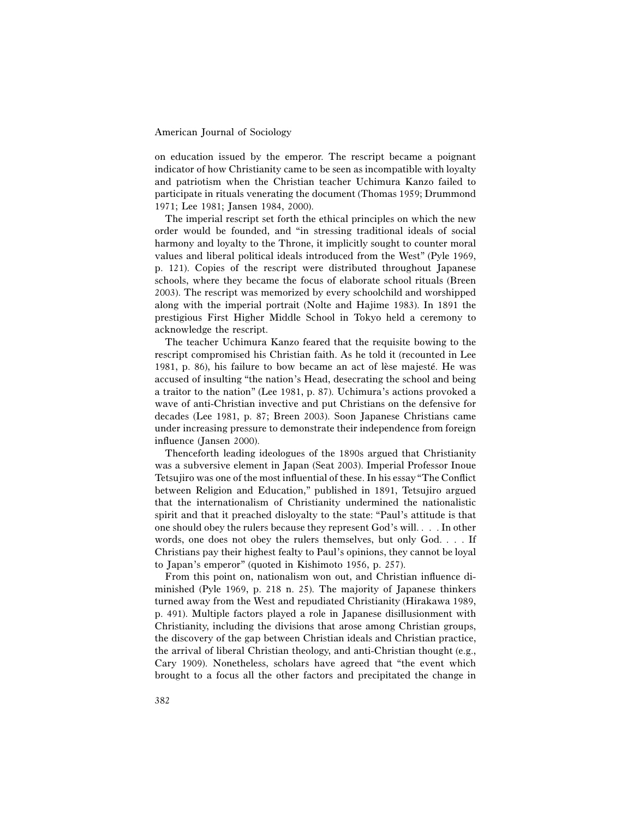on education issued by the emperor. The rescript became a poignant indicator of how Christianity came to be seen as incompatible with loyalty and patriotism when the Christian teacher Uchimura Kanzo failed to participate in rituals venerating the document (Thomas 1959; Drummond 1971; Lee 1981; Jansen 1984, 2000).

The imperial rescript set forth the ethical principles on which the new order would be founded, and "in stressing traditional ideals of social harmony and loyalty to the Throne, it implicitly sought to counter moral values and liberal political ideals introduced from the West" (Pyle 1969, p. 121). Copies of the rescript were distributed throughout Japanese schools, where they became the focus of elaborate school rituals (Breen 2003). The rescript was memorized by every schoolchild and worshipped along with the imperial portrait (Nolte and Hajime 1983). In 1891 the prestigious First Higher Middle School in Tokyo held a ceremony to acknowledge the rescript.

The teacher Uchimura Kanzo feared that the requisite bowing to the rescript compromised his Christian faith. As he told it (recounted in Lee 1981, p. 86), his failure to bow became an act of lèse majesté. He was accused of insulting "the nation's Head, desecrating the school and being a traitor to the nation" (Lee 1981, p. 87). Uchimura's actions provoked a wave of anti-Christian invective and put Christians on the defensive for decades (Lee 1981, p. 87; Breen 2003). Soon Japanese Christians came under increasing pressure to demonstrate their independence from foreign influence (Jansen 2000).

Thenceforth leading ideologues of the 1890s argued that Christianity was a subversive element in Japan (Seat 2003). Imperial Professor Inoue Tetsujiro was one of the most influential of these. In his essay "The Conflict between Religion and Education," published in 1891, Tetsujiro argued that the internationalism of Christianity undermined the nationalistic spirit and that it preached disloyalty to the state: "Paul's attitude is that one should obey the rulers because they represent God's will. . . . In other words, one does not obey the rulers themselves, but only God. . . . If Christians pay their highest fealty to Paul's opinions, they cannot be loyal to Japan's emperor" (quoted in Kishimoto 1956, p. 257).

From this point on, nationalism won out, and Christian influence diminished (Pyle 1969, p. 218 n. 25). The majority of Japanese thinkers turned away from the West and repudiated Christianity (Hirakawa 1989, p. 491). Multiple factors played a role in Japanese disillusionment with Christianity, including the divisions that arose among Christian groups, the discovery of the gap between Christian ideals and Christian practice, the arrival of liberal Christian theology, and anti-Christian thought (e.g., Cary 1909). Nonetheless, scholars have agreed that "the event which brought to a focus all the other factors and precipitated the change in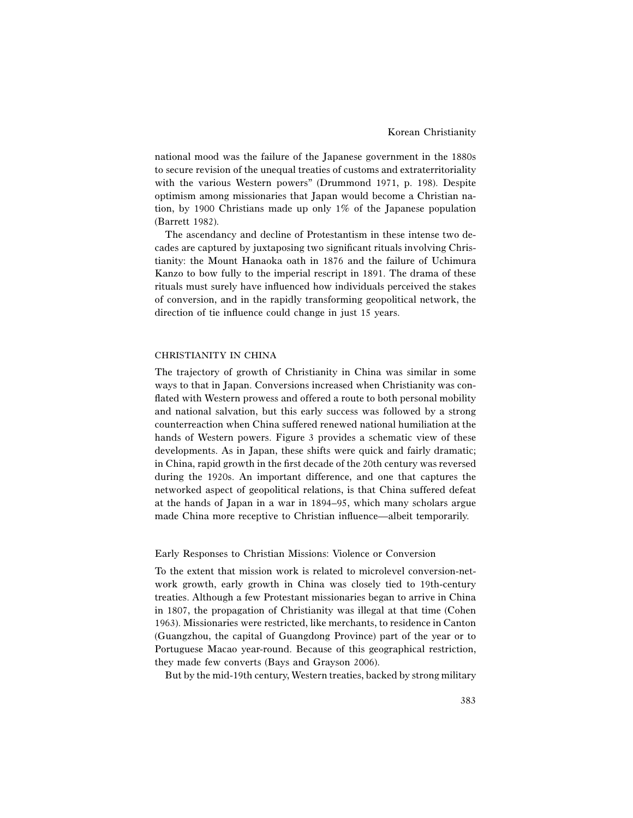national mood was the failure of the Japanese government in the 1880s to secure revision of the unequal treaties of customs and extraterritoriality with the various Western powers" (Drummond 1971, p. 198). Despite optimism among missionaries that Japan would become a Christian nation, by 1900 Christians made up only 1% of the Japanese population (Barrett 1982).

The ascendancy and decline of Protestantism in these intense two decades are captured by juxtaposing two significant rituals involving Christianity: the Mount Hanaoka oath in 1876 and the failure of Uchimura Kanzo to bow fully to the imperial rescript in 1891. The drama of these rituals must surely have influenced how individuals perceived the stakes of conversion, and in the rapidly transforming geopolitical network, the direction of tie influence could change in just 15 years.

#### CHRISTIANITY IN CHINA

The trajectory of growth of Christianity in China was similar in some ways to that in Japan. Conversions increased when Christianity was conflated with Western prowess and offered a route to both personal mobility and national salvation, but this early success was followed by a strong counterreaction when China suffered renewed national humiliation at the hands of Western powers. Figure 3 provides a schematic view of these developments. As in Japan, these shifts were quick and fairly dramatic; in China, rapid growth in the first decade of the 20th century was reversed during the 1920s. An important difference, and one that captures the networked aspect of geopolitical relations, is that China suffered defeat at the hands of Japan in a war in 1894–95, which many scholars argue made China more receptive to Christian influence—albeit temporarily.

## Early Responses to Christian Missions: Violence or Conversion

To the extent that mission work is related to microlevel conversion-network growth, early growth in China was closely tied to 19th-century treaties. Although a few Protestant missionaries began to arrive in China in 1807, the propagation of Christianity was illegal at that time (Cohen 1963). Missionaries were restricted, like merchants, to residence in Canton (Guangzhou, the capital of Guangdong Province) part of the year or to Portuguese Macao year-round. Because of this geographical restriction, they made few converts (Bays and Grayson 2006).

But by the mid-19th century, Western treaties, backed by strong military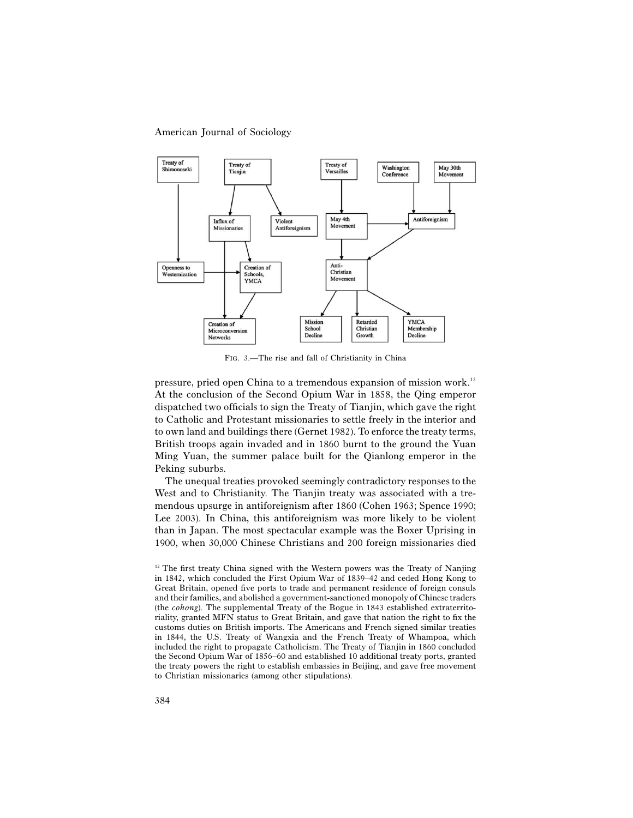

Fig. 3.—The rise and fall of Christianity in China

pressure, pried open China to a tremendous expansion of mission work.<sup>12</sup> At the conclusion of the Second Opium War in 1858, the Qing emperor dispatched two officials to sign the Treaty of Tianjin, which gave the right to Catholic and Protestant missionaries to settle freely in the interior and to own land and buildings there (Gernet 1982). To enforce the treaty terms, British troops again invaded and in 1860 burnt to the ground the Yuan Ming Yuan, the summer palace built for the Qianlong emperor in the Peking suburbs.

The unequal treaties provoked seemingly contradictory responses to the West and to Christianity. The Tianjin treaty was associated with a tremendous upsurge in antiforeignism after 1860 (Cohen 1963; Spence 1990; Lee 2003). In China, this antiforeignism was more likely to be violent than in Japan. The most spectacular example was the Boxer Uprising in 1900, when 30,000 Chinese Christians and 200 foreign missionaries died

<sup>&</sup>lt;sup>12</sup> The first treaty China signed with the Western powers was the Treaty of Nanjing in 1842, which concluded the First Opium War of 1839–42 and ceded Hong Kong to Great Britain, opened five ports to trade and permanent residence of foreign consuls and their families, and abolished a government-sanctioned monopoly of Chinese traders (the *cohong*). The supplemental Treaty of the Bogue in 1843 established extraterritoriality, granted MFN status to Great Britain, and gave that nation the right to fix the customs duties on British imports. The Americans and French signed similar treaties in 1844, the U.S. Treaty of Wangxia and the French Treaty of Whampoa, which included the right to propagate Catholicism. The Treaty of Tianjin in 1860 concluded the Second Opium War of 1856–60 and established 10 additional treaty ports, granted the treaty powers the right to establish embassies in Beijing, and gave free movement to Christian missionaries (among other stipulations).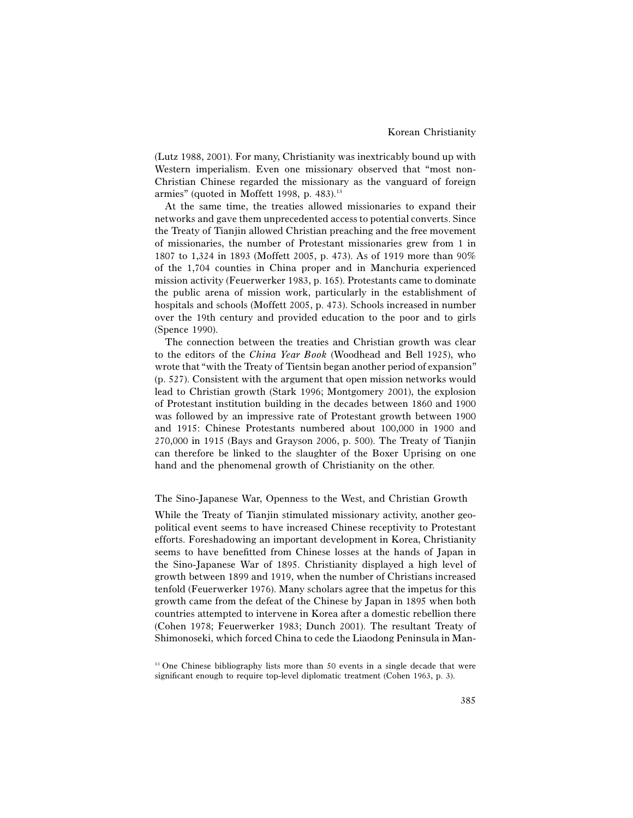(Lutz 1988, 2001). For many, Christianity was inextricably bound up with Western imperialism. Even one missionary observed that "most non-Christian Chinese regarded the missionary as the vanguard of foreign armies" (quoted in Moffett 1998, p. 483). $13$ 

At the same time, the treaties allowed missionaries to expand their networks and gave them unprecedented access to potential converts. Since the Treaty of Tianjin allowed Christian preaching and the free movement of missionaries, the number of Protestant missionaries grew from 1 in 1807 to 1,324 in 1893 (Moffett 2005, p. 473). As of 1919 more than 90% of the 1,704 counties in China proper and in Manchuria experienced mission activity (Feuerwerker 1983, p. 165). Protestants came to dominate the public arena of mission work, particularly in the establishment of hospitals and schools (Moffett 2005, p. 473). Schools increased in number over the 19th century and provided education to the poor and to girls (Spence 1990).

The connection between the treaties and Christian growth was clear to the editors of the *China Year Book* (Woodhead and Bell 1925), who wrote that "with the Treaty of Tientsin began another period of expansion" (p. 527). Consistent with the argument that open mission networks would lead to Christian growth (Stark 1996; Montgomery 2001), the explosion of Protestant institution building in the decades between 1860 and 1900 was followed by an impressive rate of Protestant growth between 1900 and 1915: Chinese Protestants numbered about 100,000 in 1900 and 270,000 in 1915 (Bays and Grayson 2006, p. 500). The Treaty of Tianjin can therefore be linked to the slaughter of the Boxer Uprising on one hand and the phenomenal growth of Christianity on the other.

## The Sino-Japanese War, Openness to the West, and Christian Growth

While the Treaty of Tianjin stimulated missionary activity, another geopolitical event seems to have increased Chinese receptivity to Protestant efforts. Foreshadowing an important development in Korea, Christianity seems to have benefitted from Chinese losses at the hands of Japan in the Sino-Japanese War of 1895. Christianity displayed a high level of growth between 1899 and 1919, when the number of Christians increased tenfold (Feuerwerker 1976). Many scholars agree that the impetus for this growth came from the defeat of the Chinese by Japan in 1895 when both countries attempted to intervene in Korea after a domestic rebellion there (Cohen 1978; Feuerwerker 1983; Dunch 2001). The resultant Treaty of Shimonoseki, which forced China to cede the Liaodong Peninsula in Man-

<sup>&</sup>lt;sup>13</sup> One Chinese bibliography lists more than 50 events in a single decade that were significant enough to require top-level diplomatic treatment (Cohen 1963, p. 3).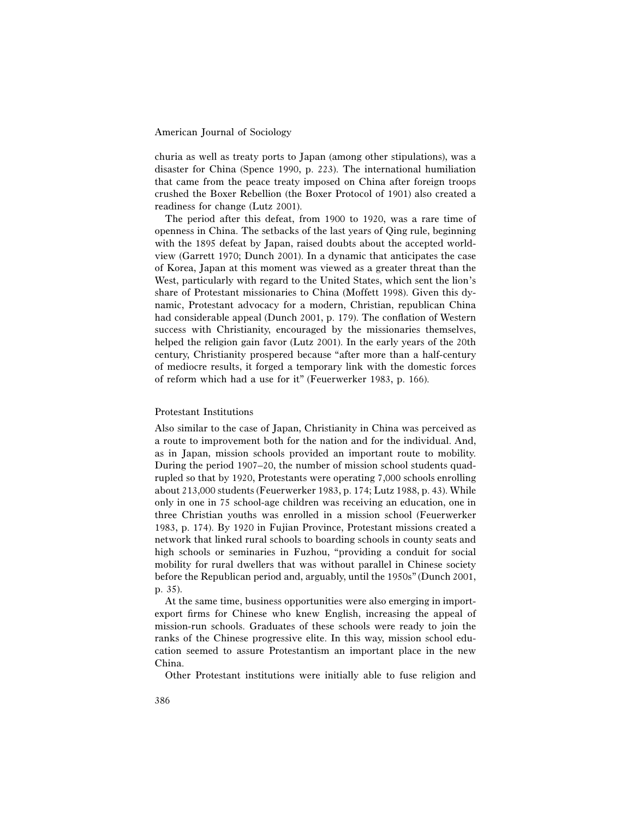churia as well as treaty ports to Japan (among other stipulations), was a disaster for China (Spence 1990, p. 223). The international humiliation that came from the peace treaty imposed on China after foreign troops crushed the Boxer Rebellion (the Boxer Protocol of 1901) also created a readiness for change (Lutz 2001).

The period after this defeat, from 1900 to 1920, was a rare time of openness in China. The setbacks of the last years of Qing rule, beginning with the 1895 defeat by Japan, raised doubts about the accepted worldview (Garrett 1970; Dunch 2001). In a dynamic that anticipates the case of Korea, Japan at this moment was viewed as a greater threat than the West, particularly with regard to the United States, which sent the lion's share of Protestant missionaries to China (Moffett 1998). Given this dynamic, Protestant advocacy for a modern, Christian, republican China had considerable appeal (Dunch 2001, p. 179). The conflation of Western success with Christianity, encouraged by the missionaries themselves, helped the religion gain favor (Lutz 2001). In the early years of the 20th century, Christianity prospered because "after more than a half-century of mediocre results, it forged a temporary link with the domestic forces of reform which had a use for it" (Feuerwerker 1983, p. 166).

#### Protestant Institutions

Also similar to the case of Japan, Christianity in China was perceived as a route to improvement both for the nation and for the individual. And, as in Japan, mission schools provided an important route to mobility. During the period 1907–20, the number of mission school students quadrupled so that by 1920, Protestants were operating 7,000 schools enrolling about 213,000 students (Feuerwerker 1983, p. 174; Lutz 1988, p. 43). While only in one in 75 school-age children was receiving an education, one in three Christian youths was enrolled in a mission school (Feuerwerker 1983, p. 174). By 1920 in Fujian Province, Protestant missions created a network that linked rural schools to boarding schools in county seats and high schools or seminaries in Fuzhou, "providing a conduit for social mobility for rural dwellers that was without parallel in Chinese society before the Republican period and, arguably, until the 1950s" (Dunch 2001, p. 35).

At the same time, business opportunities were also emerging in importexport firms for Chinese who knew English, increasing the appeal of mission-run schools. Graduates of these schools were ready to join the ranks of the Chinese progressive elite. In this way, mission school education seemed to assure Protestantism an important place in the new China.

Other Protestant institutions were initially able to fuse religion and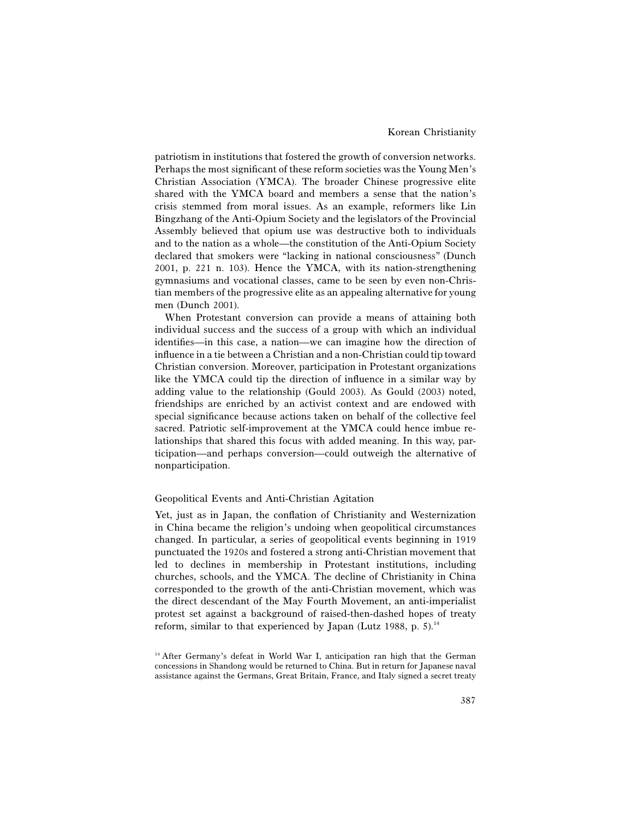#### Korean Christianity

patriotism in institutions that fostered the growth of conversion networks. Perhaps the most significant of these reform societies was the Young Men's Christian Association (YMCA). The broader Chinese progressive elite shared with the YMCA board and members a sense that the nation's crisis stemmed from moral issues. As an example, reformers like Lin Bingzhang of the Anti-Opium Society and the legislators of the Provincial Assembly believed that opium use was destructive both to individuals and to the nation as a whole—the constitution of the Anti-Opium Society declared that smokers were "lacking in national consciousness" (Dunch 2001, p. 221 n. 103). Hence the YMCA, with its nation-strengthening gymnasiums and vocational classes, came to be seen by even non-Christian members of the progressive elite as an appealing alternative for young men (Dunch 2001).

When Protestant conversion can provide a means of attaining both individual success and the success of a group with which an individual identifies—in this case, a nation—we can imagine how the direction of influence in a tie between a Christian and a non-Christian could tip toward Christian conversion. Moreover, participation in Protestant organizations like the YMCA could tip the direction of influence in a similar way by adding value to the relationship (Gould 2003). As Gould (2003) noted, friendships are enriched by an activist context and are endowed with special significance because actions taken on behalf of the collective feel sacred. Patriotic self-improvement at the YMCA could hence imbue relationships that shared this focus with added meaning. In this way, participation—and perhaps conversion—could outweigh the alternative of nonparticipation.

## Geopolitical Events and Anti-Christian Agitation

Yet, just as in Japan, the conflation of Christianity and Westernization in China became the religion's undoing when geopolitical circumstances changed. In particular, a series of geopolitical events beginning in 1919 punctuated the 1920s and fostered a strong anti-Christian movement that led to declines in membership in Protestant institutions, including churches, schools, and the YMCA. The decline of Christianity in China corresponded to the growth of the anti-Christian movement, which was the direct descendant of the May Fourth Movement, an anti-imperialist protest set against a background of raised-then-dashed hopes of treaty reform, similar to that experienced by Japan (Lutz 1988, p. 5).<sup>14</sup>

<sup>14</sup> After Germany's defeat in World War I, anticipation ran high that the German concessions in Shandong would be returned to China. But in return for Japanese naval assistance against the Germans, Great Britain, France, and Italy signed a secret treaty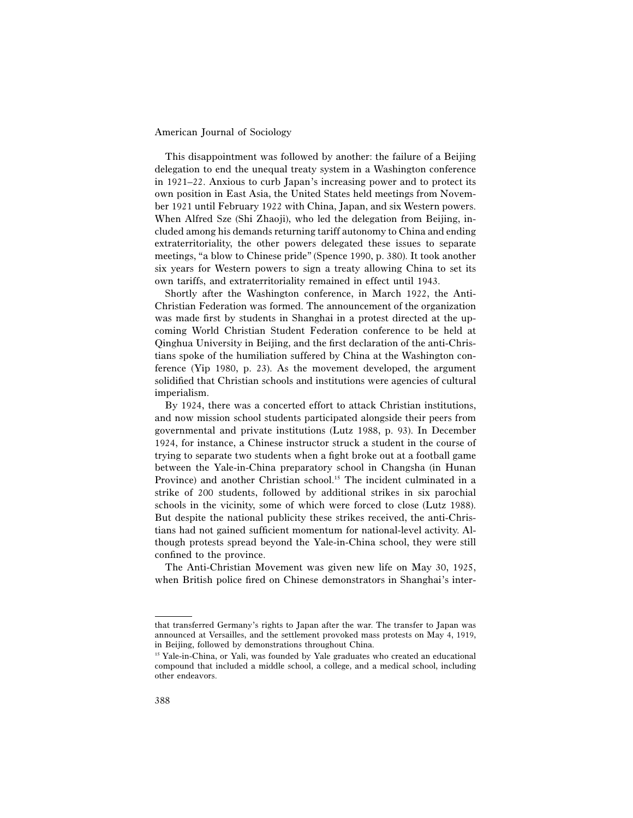This disappointment was followed by another: the failure of a Beijing delegation to end the unequal treaty system in a Washington conference in 1921–22. Anxious to curb Japan's increasing power and to protect its own position in East Asia, the United States held meetings from November 1921 until February 1922 with China, Japan, and six Western powers. When Alfred Sze (Shi Zhaoji), who led the delegation from Beijing, included among his demands returning tariff autonomy to China and ending extraterritoriality, the other powers delegated these issues to separate meetings, "a blow to Chinese pride" (Spence 1990, p. 380). It took another six years for Western powers to sign a treaty allowing China to set its own tariffs, and extraterritoriality remained in effect until 1943.

Shortly after the Washington conference, in March 1922, the Anti-Christian Federation was formed. The announcement of the organization was made first by students in Shanghai in a protest directed at the upcoming World Christian Student Federation conference to be held at Qinghua University in Beijing, and the first declaration of the anti-Christians spoke of the humiliation suffered by China at the Washington conference (Yip 1980, p. 23). As the movement developed, the argument solidified that Christian schools and institutions were agencies of cultural imperialism.

By 1924, there was a concerted effort to attack Christian institutions, and now mission school students participated alongside their peers from governmental and private institutions (Lutz 1988, p. 93). In December 1924, for instance, a Chinese instructor struck a student in the course of trying to separate two students when a fight broke out at a football game between the Yale-in-China preparatory school in Changsha (in Hunan Province) and another Christian school.<sup>15</sup> The incident culminated in a strike of 200 students, followed by additional strikes in six parochial schools in the vicinity, some of which were forced to close (Lutz 1988). But despite the national publicity these strikes received, the anti-Christians had not gained sufficient momentum for national-level activity. Although protests spread beyond the Yale-in-China school, they were still confined to the province.

The Anti-Christian Movement was given new life on May 30, 1925, when British police fired on Chinese demonstrators in Shanghai's inter-

that transferred Germany's rights to Japan after the war. The transfer to Japan was announced at Versailles, and the settlement provoked mass protests on May 4, 1919, in Beijing, followed by demonstrations throughout China.

<sup>&</sup>lt;sup>15</sup> Yale-in-China, or Yali, was founded by Yale graduates who created an educational compound that included a middle school, a college, and a medical school, including other endeavors.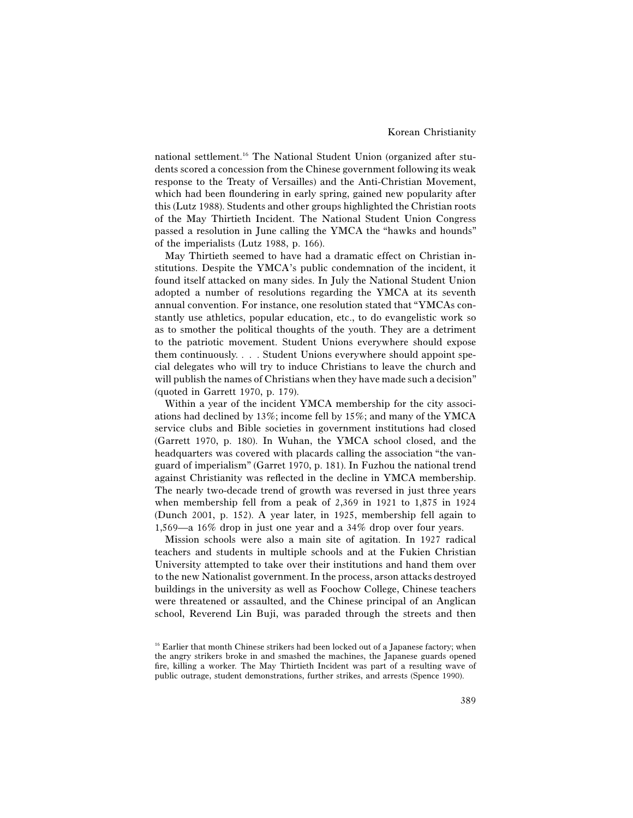national settlement.16 The National Student Union (organized after students scored a concession from the Chinese government following its weak response to the Treaty of Versailles) and the Anti-Christian Movement, which had been floundering in early spring, gained new popularity after this (Lutz 1988). Students and other groups highlighted the Christian roots of the May Thirtieth Incident. The National Student Union Congress passed a resolution in June calling the YMCA the "hawks and hounds" of the imperialists (Lutz 1988, p. 166).

May Thirtieth seemed to have had a dramatic effect on Christian institutions. Despite the YMCA's public condemnation of the incident, it found itself attacked on many sides. In July the National Student Union adopted a number of resolutions regarding the YMCA at its seventh annual convention. For instance, one resolution stated that "YMCAs constantly use athletics, popular education, etc., to do evangelistic work so as to smother the political thoughts of the youth. They are a detriment to the patriotic movement. Student Unions everywhere should expose them continuously. . . . Student Unions everywhere should appoint special delegates who will try to induce Christians to leave the church and will publish the names of Christians when they have made such a decision" (quoted in Garrett 1970, p. 179).

Within a year of the incident YMCA membership for the city associations had declined by 13%; income fell by 15%; and many of the YMCA service clubs and Bible societies in government institutions had closed (Garrett 1970, p. 180). In Wuhan, the YMCA school closed, and the headquarters was covered with placards calling the association "the vanguard of imperialism" (Garret 1970, p. 181). In Fuzhou the national trend against Christianity was reflected in the decline in YMCA membership. The nearly two-decade trend of growth was reversed in just three years when membership fell from a peak of 2,369 in 1921 to 1,875 in 1924 (Dunch 2001, p. 152). A year later, in 1925, membership fell again to 1,569—a 16% drop in just one year and a 34% drop over four years.

Mission schools were also a main site of agitation. In 1927 radical teachers and students in multiple schools and at the Fukien Christian University attempted to take over their institutions and hand them over to the new Nationalist government. In the process, arson attacks destroyed buildings in the university as well as Foochow College, Chinese teachers were threatened or assaulted, and the Chinese principal of an Anglican school, Reverend Lin Buji, was paraded through the streets and then

<sup>&</sup>lt;sup>16</sup> Earlier that month Chinese strikers had been locked out of a Japanese factory; when the angry strikers broke in and smashed the machines, the Japanese guards opened fire, killing a worker. The May Thirtieth Incident was part of a resulting wave of public outrage, student demonstrations, further strikes, and arrests (Spence 1990).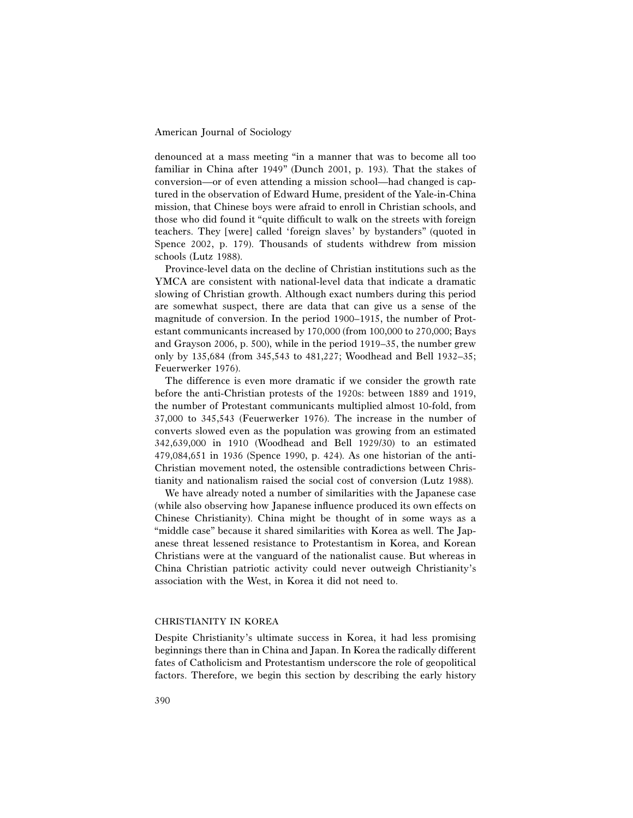denounced at a mass meeting "in a manner that was to become all too familiar in China after 1949" (Dunch 2001, p. 193). That the stakes of conversion—or of even attending a mission school—had changed is captured in the observation of Edward Hume, president of the Yale-in-China mission, that Chinese boys were afraid to enroll in Christian schools, and those who did found it "quite difficult to walk on the streets with foreign teachers. They [were] called 'foreign slaves' by bystanders" (quoted in Spence 2002, p. 179). Thousands of students withdrew from mission schools (Lutz 1988).

Province-level data on the decline of Christian institutions such as the YMCA are consistent with national-level data that indicate a dramatic slowing of Christian growth. Although exact numbers during this period are somewhat suspect, there are data that can give us a sense of the magnitude of conversion. In the period 1900–1915, the number of Protestant communicants increased by 170,000 (from 100,000 to 270,000; Bays and Grayson 2006, p. 500), while in the period 1919–35, the number grew only by 135,684 (from 345,543 to 481,227; Woodhead and Bell 1932–35; Feuerwerker 1976).

The difference is even more dramatic if we consider the growth rate before the anti-Christian protests of the 1920s: between 1889 and 1919, the number of Protestant communicants multiplied almost 10-fold, from 37,000 to 345,543 (Feuerwerker 1976). The increase in the number of converts slowed even as the population was growing from an estimated 342,639,000 in 1910 (Woodhead and Bell 1929/30) to an estimated 479,084,651 in 1936 (Spence 1990, p. 424). As one historian of the anti-Christian movement noted, the ostensible contradictions between Christianity and nationalism raised the social cost of conversion (Lutz 1988).

We have already noted a number of similarities with the Japanese case (while also observing how Japanese influence produced its own effects on Chinese Christianity). China might be thought of in some ways as a "middle case" because it shared similarities with Korea as well. The Japanese threat lessened resistance to Protestantism in Korea, and Korean Christians were at the vanguard of the nationalist cause. But whereas in China Christian patriotic activity could never outweigh Christianity's association with the West, in Korea it did not need to.

#### CHRISTIANITY IN KOREA

Despite Christianity's ultimate success in Korea, it had less promising beginnings there than in China and Japan. In Korea the radically different fates of Catholicism and Protestantism underscore the role of geopolitical factors. Therefore, we begin this section by describing the early history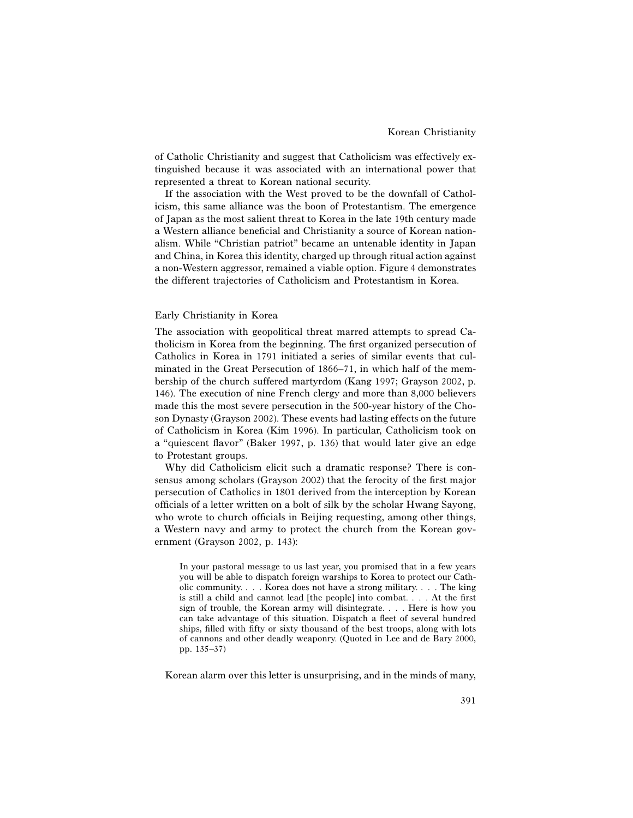of Catholic Christianity and suggest that Catholicism was effectively extinguished because it was associated with an international power that represented a threat to Korean national security.

If the association with the West proved to be the downfall of Catholicism, this same alliance was the boon of Protestantism. The emergence of Japan as the most salient threat to Korea in the late 19th century made a Western alliance beneficial and Christianity a source of Korean nationalism. While "Christian patriot" became an untenable identity in Japan and China, in Korea this identity, charged up through ritual action against a non-Western aggressor, remained a viable option. Figure 4 demonstrates the different trajectories of Catholicism and Protestantism in Korea.

#### Early Christianity in Korea

The association with geopolitical threat marred attempts to spread Catholicism in Korea from the beginning. The first organized persecution of Catholics in Korea in 1791 initiated a series of similar events that culminated in the Great Persecution of 1866–71, in which half of the membership of the church suffered martyrdom (Kang 1997; Grayson 2002, p. 146). The execution of nine French clergy and more than 8,000 believers made this the most severe persecution in the 500-year history of the Choson Dynasty (Grayson 2002). These events had lasting effects on the future of Catholicism in Korea (Kim 1996). In particular, Catholicism took on a "quiescent flavor" (Baker 1997, p. 136) that would later give an edge to Protestant groups.

Why did Catholicism elicit such a dramatic response? There is consensus among scholars (Grayson 2002) that the ferocity of the first major persecution of Catholics in 1801 derived from the interception by Korean officials of a letter written on a bolt of silk by the scholar Hwang Sayong, who wrote to church officials in Beijing requesting, among other things, a Western navy and army to protect the church from the Korean government (Grayson 2002, p. 143):

In your pastoral message to us last year, you promised that in a few years you will be able to dispatch foreign warships to Korea to protect our Catholic community. . . . Korea does not have a strong military. . . . The king is still a child and cannot lead [the people] into combat. . . . At the first sign of trouble, the Korean army will disintegrate. . . . Here is how you can take advantage of this situation. Dispatch a fleet of several hundred ships, filled with fifty or sixty thousand of the best troops, along with lots of cannons and other deadly weaponry. (Quoted in Lee and de Bary 2000, pp. 135–37)

Korean alarm over this letter is unsurprising, and in the minds of many,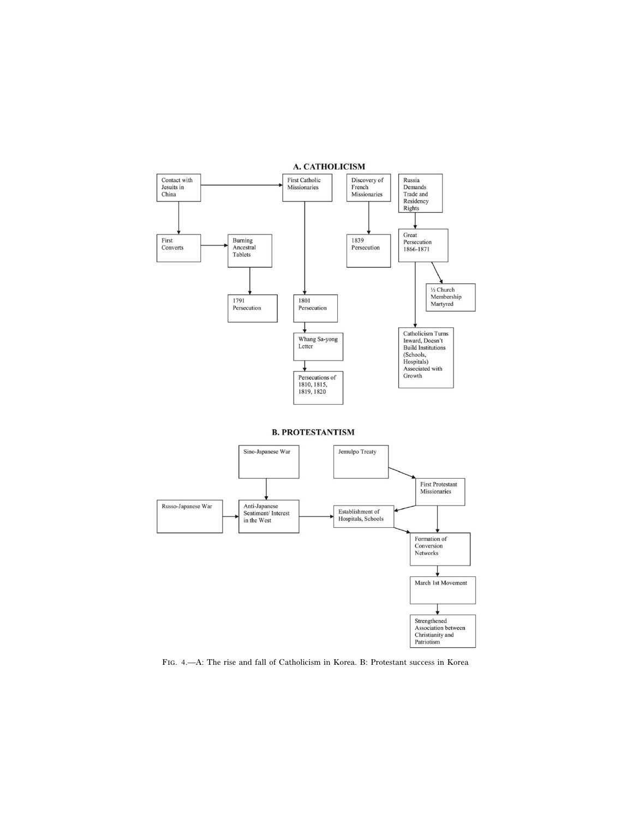

Fig. 4.—A: The rise and fall of Catholicism in Korea. B: Protestant success in Korea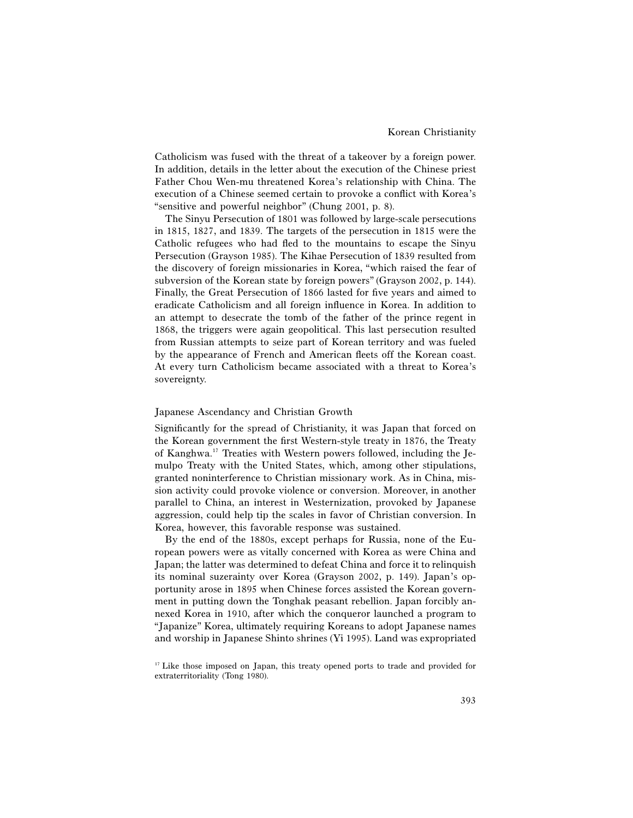Catholicism was fused with the threat of a takeover by a foreign power. In addition, details in the letter about the execution of the Chinese priest Father Chou Wen-mu threatened Korea's relationship with China. The execution of a Chinese seemed certain to provoke a conflict with Korea's "sensitive and powerful neighbor" (Chung 2001, p. 8).

The Sinyu Persecution of 1801 was followed by large-scale persecutions in 1815, 1827, and 1839. The targets of the persecution in 1815 were the Catholic refugees who had fled to the mountains to escape the Sinyu Persecution (Grayson 1985). The Kihae Persecution of 1839 resulted from the discovery of foreign missionaries in Korea, "which raised the fear of subversion of the Korean state by foreign powers" (Grayson 2002, p. 144). Finally, the Great Persecution of 1866 lasted for five years and aimed to eradicate Catholicism and all foreign influence in Korea. In addition to an attempt to desecrate the tomb of the father of the prince regent in 1868, the triggers were again geopolitical. This last persecution resulted from Russian attempts to seize part of Korean territory and was fueled by the appearance of French and American fleets off the Korean coast. At every turn Catholicism became associated with a threat to Korea's sovereignty.

## Japanese Ascendancy and Christian Growth

Significantly for the spread of Christianity, it was Japan that forced on the Korean government the first Western-style treaty in 1876, the Treaty of Kanghwa.17 Treaties with Western powers followed, including the Jemulpo Treaty with the United States, which, among other stipulations, granted noninterference to Christian missionary work. As in China, mission activity could provoke violence or conversion. Moreover, in another parallel to China, an interest in Westernization, provoked by Japanese aggression, could help tip the scales in favor of Christian conversion. In Korea, however, this favorable response was sustained.

By the end of the 1880s, except perhaps for Russia, none of the European powers were as vitally concerned with Korea as were China and Japan; the latter was determined to defeat China and force it to relinquish its nominal suzerainty over Korea (Grayson 2002, p. 149). Japan's opportunity arose in 1895 when Chinese forces assisted the Korean government in putting down the Tonghak peasant rebellion. Japan forcibly annexed Korea in 1910, after which the conqueror launched a program to "Japanize" Korea, ultimately requiring Koreans to adopt Japanese names and worship in Japanese Shinto shrines (Yi 1995). Land was expropriated

<sup>&</sup>lt;sup>17</sup> Like those imposed on Japan, this treaty opened ports to trade and provided for extraterritoriality (Tong 1980).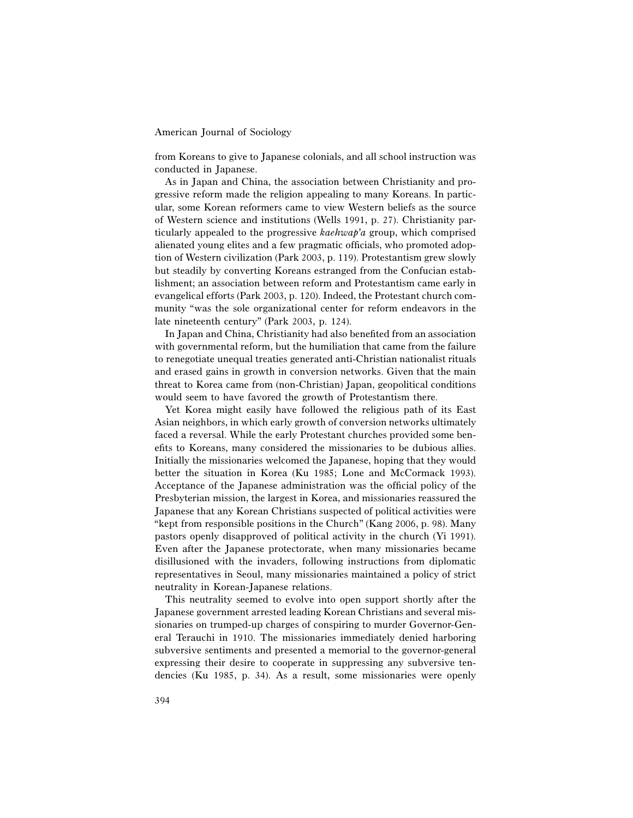from Koreans to give to Japanese colonials, and all school instruction was conducted in Japanese.

As in Japan and China, the association between Christianity and progressive reform made the religion appealing to many Koreans. In particular, some Korean reformers came to view Western beliefs as the source of Western science and institutions (Wells 1991, p. 27). Christianity particularly appealed to the progressive *kaehwap'a* group, which comprised alienated young elites and a few pragmatic officials, who promoted adoption of Western civilization (Park 2003, p. 119). Protestantism grew slowly but steadily by converting Koreans estranged from the Confucian establishment; an association between reform and Protestantism came early in evangelical efforts (Park 2003, p. 120). Indeed, the Protestant church community "was the sole organizational center for reform endeavors in the late nineteenth century" (Park 2003, p. 124).

In Japan and China, Christianity had also benefited from an association with governmental reform, but the humiliation that came from the failure to renegotiate unequal treaties generated anti-Christian nationalist rituals and erased gains in growth in conversion networks. Given that the main threat to Korea came from (non-Christian) Japan, geopolitical conditions would seem to have favored the growth of Protestantism there.

Yet Korea might easily have followed the religious path of its East Asian neighbors, in which early growth of conversion networks ultimately faced a reversal. While the early Protestant churches provided some benefits to Koreans, many considered the missionaries to be dubious allies. Initially the missionaries welcomed the Japanese, hoping that they would better the situation in Korea (Ku 1985; Lone and McCormack 1993). Acceptance of the Japanese administration was the official policy of the Presbyterian mission, the largest in Korea, and missionaries reassured the Japanese that any Korean Christians suspected of political activities were "kept from responsible positions in the Church" (Kang 2006, p. 98). Many pastors openly disapproved of political activity in the church (Yi 1991). Even after the Japanese protectorate, when many missionaries became disillusioned with the invaders, following instructions from diplomatic representatives in Seoul, many missionaries maintained a policy of strict neutrality in Korean-Japanese relations.

This neutrality seemed to evolve into open support shortly after the Japanese government arrested leading Korean Christians and several missionaries on trumped-up charges of conspiring to murder Governor-General Terauchi in 1910. The missionaries immediately denied harboring subversive sentiments and presented a memorial to the governor-general expressing their desire to cooperate in suppressing any subversive tendencies (Ku 1985, p. 34). As a result, some missionaries were openly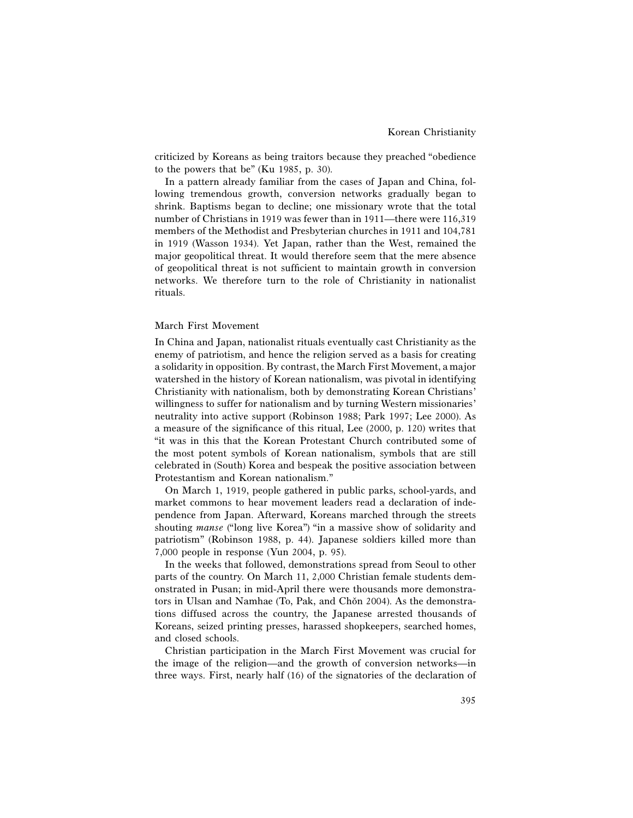criticized by Koreans as being traitors because they preached "obedience to the powers that be" (Ku 1985, p. 30).

In a pattern already familiar from the cases of Japan and China, following tremendous growth, conversion networks gradually began to shrink. Baptisms began to decline; one missionary wrote that the total number of Christians in 1919 was fewer than in 1911—there were 116,319 members of the Methodist and Presbyterian churches in 1911 and 104,781 in 1919 (Wasson 1934). Yet Japan, rather than the West, remained the major geopolitical threat. It would therefore seem that the mere absence of geopolitical threat is not sufficient to maintain growth in conversion networks. We therefore turn to the role of Christianity in nationalist rituals.

#### March First Movement

In China and Japan, nationalist rituals eventually cast Christianity as the enemy of patriotism, and hence the religion served as a basis for creating a solidarity in opposition. By contrast, the March First Movement, a major watershed in the history of Korean nationalism, was pivotal in identifying Christianity with nationalism, both by demonstrating Korean Christians' willingness to suffer for nationalism and by turning Western missionaries' neutrality into active support (Robinson 1988; Park 1997; Lee 2000). As a measure of the significance of this ritual, Lee (2000, p. 120) writes that "it was in this that the Korean Protestant Church contributed some of the most potent symbols of Korean nationalism, symbols that are still celebrated in (South) Korea and bespeak the positive association between Protestantism and Korean nationalism."

On March 1, 1919, people gathered in public parks, school-yards, and market commons to hear movement leaders read a declaration of independence from Japan. Afterward, Koreans marched through the streets shouting *manse* ("long live Korea") "in a massive show of solidarity and patriotism" (Robinson 1988, p. 44). Japanese soldiers killed more than 7,000 people in response (Yun 2004, p. 95).

In the weeks that followed, demonstrations spread from Seoul to other parts of the country. On March 11, 2,000 Christian female students demonstrated in Pusan; in mid-April there were thousands more demonstrators in Ulsan and Namhae (To, Pak, and Chŏn 2004). As the demonstrations diffused across the country, the Japanese arrested thousands of Koreans, seized printing presses, harassed shopkeepers, searched homes, and closed schools.

Christian participation in the March First Movement was crucial for the image of the religion—and the growth of conversion networks—in three ways. First, nearly half (16) of the signatories of the declaration of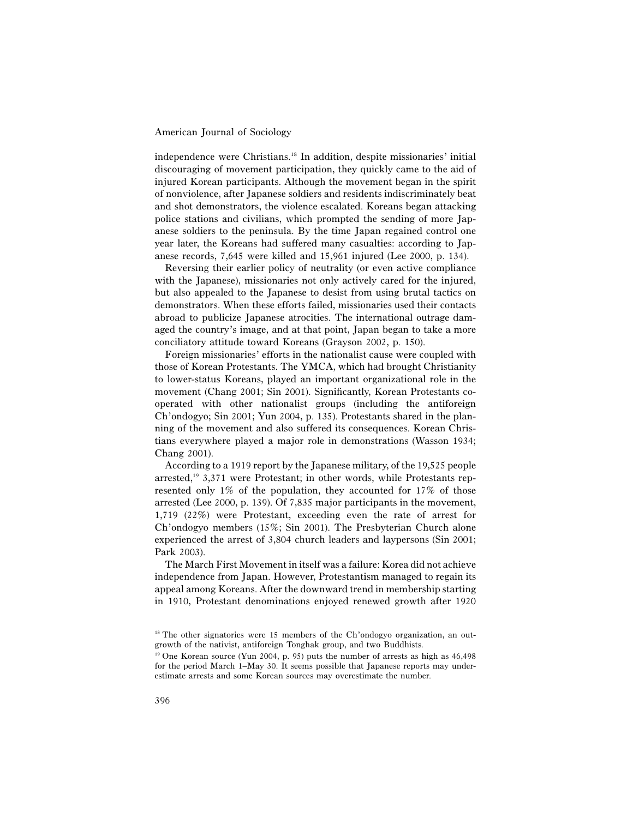independence were Christians.18 In addition, despite missionaries' initial discouraging of movement participation, they quickly came to the aid of injured Korean participants. Although the movement began in the spirit of nonviolence, after Japanese soldiers and residents indiscriminately beat and shot demonstrators, the violence escalated. Koreans began attacking police stations and civilians, which prompted the sending of more Japanese soldiers to the peninsula. By the time Japan regained control one year later, the Koreans had suffered many casualties: according to Japanese records, 7,645 were killed and 15,961 injured (Lee 2000, p. 134).

Reversing their earlier policy of neutrality (or even active compliance with the Japanese), missionaries not only actively cared for the injured, but also appealed to the Japanese to desist from using brutal tactics on demonstrators. When these efforts failed, missionaries used their contacts abroad to publicize Japanese atrocities. The international outrage damaged the country's image, and at that point, Japan began to take a more conciliatory attitude toward Koreans (Grayson 2002, p. 150).

Foreign missionaries' efforts in the nationalist cause were coupled with those of Korean Protestants. The YMCA, which had brought Christianity to lower-status Koreans, played an important organizational role in the movement (Chang 2001; Sin 2001). Significantly, Korean Protestants cooperated with other nationalist groups (including the antiforeign Ch'ondogyo; Sin 2001; Yun 2004, p. 135). Protestants shared in the planning of the movement and also suffered its consequences. Korean Christians everywhere played a major role in demonstrations (Wasson 1934; Chang 2001).

According to a 1919 report by the Japanese military, of the 19,525 people arrested,<sup>19</sup> 3,371 were Protestant; in other words, while Protestants represented only 1% of the population, they accounted for 17% of those arrested (Lee 2000, p. 139). Of 7,835 major participants in the movement, 1,719 (22%) were Protestant, exceeding even the rate of arrest for Ch'ondogyo members (15%; Sin 2001). The Presbyterian Church alone experienced the arrest of 3,804 church leaders and laypersons (Sin 2001; Park 2003).

The March First Movement in itself was a failure: Korea did not achieve independence from Japan. However, Protestantism managed to regain its appeal among Koreans. After the downward trend in membership starting in 1910, Protestant denominations enjoyed renewed growth after 1920

 $18$ <sup>18</sup> The other signatories were 15 members of the Ch'ondogyo organization, an outgrowth of the nativist, antiforeign Tonghak group, and two Buddhists.

<sup>&</sup>lt;sup>19</sup> One Korean source (Yun 2004, p. 95) puts the number of arrests as high as 46,498 for the period March 1–May 30. It seems possible that Japanese reports may underestimate arrests and some Korean sources may overestimate the number.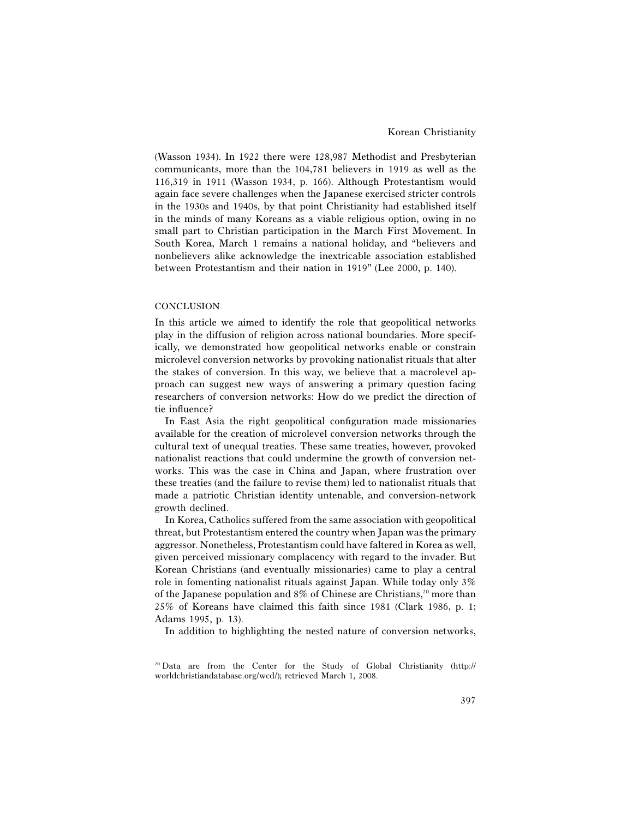(Wasson 1934). In 1922 there were 128,987 Methodist and Presbyterian communicants, more than the 104,781 believers in 1919 as well as the 116,319 in 1911 (Wasson 1934, p. 166). Although Protestantism would again face severe challenges when the Japanese exercised stricter controls in the 1930s and 1940s, by that point Christianity had established itself in the minds of many Koreans as a viable religious option, owing in no small part to Christian participation in the March First Movement. In South Korea, March 1 remains a national holiday, and "believers and nonbelievers alike acknowledge the inextricable association established between Protestantism and their nation in 1919" (Lee 2000, p. 140).

#### **CONCLUSION**

In this article we aimed to identify the role that geopolitical networks play in the diffusion of religion across national boundaries. More specifically, we demonstrated how geopolitical networks enable or constrain microlevel conversion networks by provoking nationalist rituals that alter the stakes of conversion. In this way, we believe that a macrolevel approach can suggest new ways of answering a primary question facing researchers of conversion networks: How do we predict the direction of tie influence?

In East Asia the right geopolitical configuration made missionaries available for the creation of microlevel conversion networks through the cultural text of unequal treaties. These same treaties, however, provoked nationalist reactions that could undermine the growth of conversion networks. This was the case in China and Japan, where frustration over these treaties (and the failure to revise them) led to nationalist rituals that made a patriotic Christian identity untenable, and conversion-network growth declined.

In Korea, Catholics suffered from the same association with geopolitical threat, but Protestantism entered the country when Japan was the primary aggressor. Nonetheless, Protestantism could have faltered in Korea as well, given perceived missionary complacency with regard to the invader. But Korean Christians (and eventually missionaries) came to play a central role in fomenting nationalist rituals against Japan. While today only 3% of the Japanese population and  $8\%$  of Chinese are Christians,<sup>20</sup> more than 25% of Koreans have claimed this faith since 1981 (Clark 1986, p. 1; Adams 1995, p. 13).

In addition to highlighting the nested nature of conversion networks,

<sup>20</sup> Data are from the Center for the Study of Global Christianity (http:// worldchristiandatabase.org/wcd/); retrieved March 1, 2008.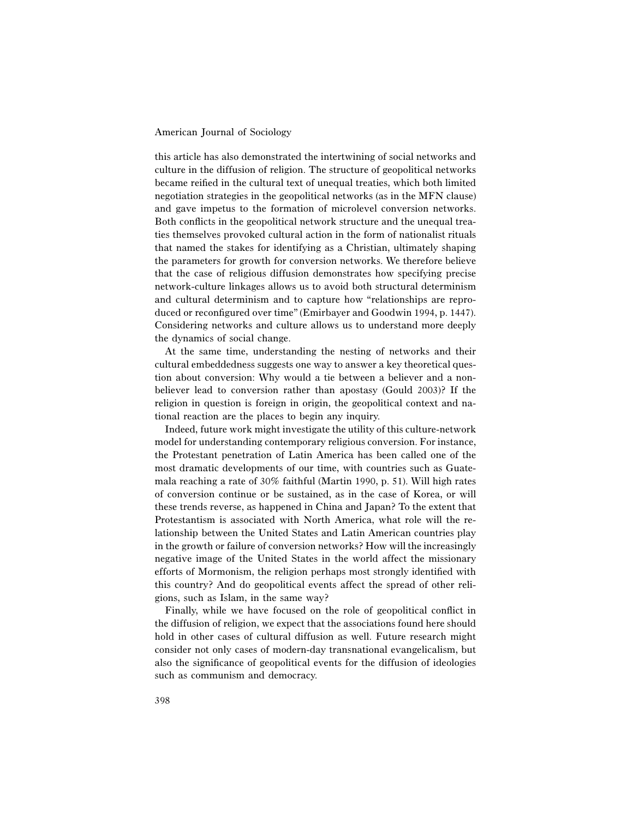this article has also demonstrated the intertwining of social networks and culture in the diffusion of religion. The structure of geopolitical networks became reified in the cultural text of unequal treaties, which both limited negotiation strategies in the geopolitical networks (as in the MFN clause) and gave impetus to the formation of microlevel conversion networks. Both conflicts in the geopolitical network structure and the unequal treaties themselves provoked cultural action in the form of nationalist rituals that named the stakes for identifying as a Christian, ultimately shaping the parameters for growth for conversion networks. We therefore believe that the case of religious diffusion demonstrates how specifying precise network-culture linkages allows us to avoid both structural determinism and cultural determinism and to capture how "relationships are reproduced or reconfigured over time" (Emirbayer and Goodwin 1994, p. 1447). Considering networks and culture allows us to understand more deeply the dynamics of social change.

At the same time, understanding the nesting of networks and their cultural embeddedness suggests one way to answer a key theoretical question about conversion: Why would a tie between a believer and a nonbeliever lead to conversion rather than apostasy (Gould 2003)? If the religion in question is foreign in origin, the geopolitical context and national reaction are the places to begin any inquiry.

Indeed, future work might investigate the utility of this culture-network model for understanding contemporary religious conversion. For instance, the Protestant penetration of Latin America has been called one of the most dramatic developments of our time, with countries such as Guatemala reaching a rate of 30% faithful (Martin 1990, p. 51). Will high rates of conversion continue or be sustained, as in the case of Korea, or will these trends reverse, as happened in China and Japan? To the extent that Protestantism is associated with North America, what role will the relationship between the United States and Latin American countries play in the growth or failure of conversion networks? How will the increasingly negative image of the United States in the world affect the missionary efforts of Mormonism, the religion perhaps most strongly identified with this country? And do geopolitical events affect the spread of other religions, such as Islam, in the same way?

Finally, while we have focused on the role of geopolitical conflict in the diffusion of religion, we expect that the associations found here should hold in other cases of cultural diffusion as well. Future research might consider not only cases of modern-day transnational evangelicalism, but also the significance of geopolitical events for the diffusion of ideologies such as communism and democracy.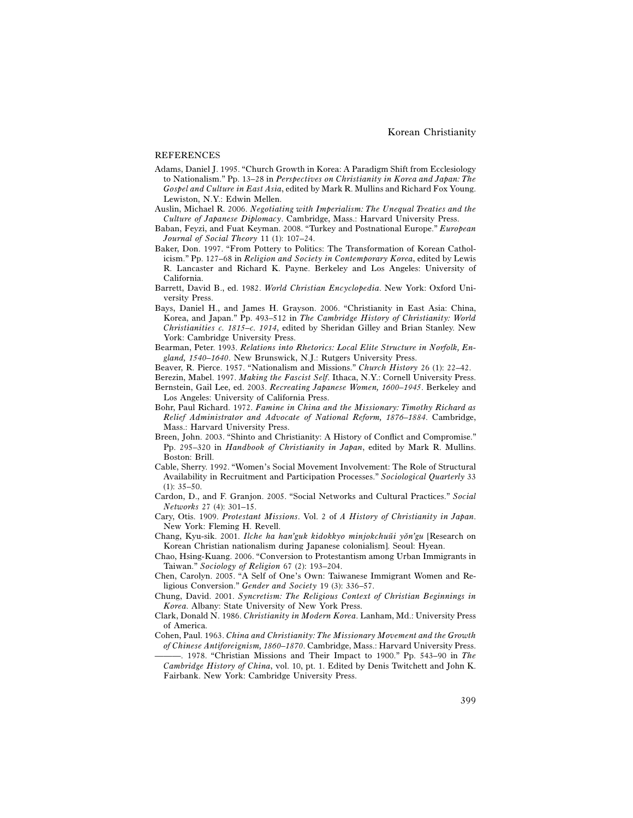#### REFERENCES

- Adams, Daniel J. 1995. "Church Growth in Korea: A Paradigm Shift from Ecclesiology to Nationalism." Pp. 13–28 in *Perspectives on Christianity in Korea and Japan: The Gospel and Culture in East Asia*, edited by Mark R. Mullins and Richard Fox Young. Lewiston, N.Y.: Edwin Mellen.
- Auslin, Michael R. 2006. *Negotiating with Imperialism: The Unequal Treaties and the Culture of Japanese Diplomacy*. Cambridge, Mass.: Harvard University Press.
- Baban, Feyzi, and Fuat Keyman. 2008. "Turkey and Postnational Europe." *European Journal of Social Theory* 11 (1): 107–24.
- Baker, Don. 1997. "From Pottery to Politics: The Transformation of Korean Catholicism." Pp. 127–68 in *Religion and Society in Contemporary Korea*, edited by Lewis R. Lancaster and Richard K. Payne. Berkeley and Los Angeles: University of California.
- Barrett, David B., ed. 1982. *World Christian Encyclopedia*. New York: Oxford University Press.
- Bays, Daniel H., and James H. Grayson. 2006. "Christianity in East Asia: China, Korea, and Japan." Pp. 493–512 in *The Cambridge History of Christianity: World Christianities c. 1815–c. 1914*, edited by Sheridan Gilley and Brian Stanley. New York: Cambridge University Press.
- Bearman, Peter. 1993. *Relations into Rhetorics: Local Elite Structure in Norfolk, England, 1540–1640*. New Brunswick, N.J.: Rutgers University Press.
- Beaver, R. Pierce. 1957. "Nationalism and Missions." *Church History* 26 (1): 22–42.
- Berezin, Mabel. 1997. *Making the Fascist Self*. Ithaca, N.Y.: Cornell University Press.
- Bernstein, Gail Lee, ed. 2003. *Recreating Japanese Women, 1600–1945*. Berkeley and Los Angeles: University of California Press.
- Bohr, Paul Richard. 1972. *Famine in China and the Missionary: Timothy Richard as Relief Administrator and Advocate of National Reform, 1876–1884*. Cambridge, Mass.: Harvard University Press.
- Breen, John. 2003. "Shinto and Christianity: A History of Conflict and Compromise." Pp. 295–320 in *Handbook of Christianity in Japan*, edited by Mark R. Mullins. Boston: Brill.
- Cable, Sherry. 1992. "Women's Social Movement Involvement: The Role of Structural Availability in Recruitment and Participation Processes." *Sociological Quarterly* 33 (1): 35–50.
- Cardon, D., and F. Granjon. 2005. "Social Networks and Cultural Practices." *Social Networks* 27 (4): 301–15.
- Cary, Otis. 1909. *Protestant Missions*. Vol. 2 of *A History of Christianity in Japan*. New York: Fleming H. Revell.
- Chang, Kyu-sik. 2001. *Ilche ha han'guk kidokkyo minjokchuuˇi yoˇn'gu* [Research on Korean Christian nationalism during Japanese colonialism]. Seoul: Hyean.
- Chao, Hsing-Kuang. 2006. "Conversion to Protestantism among Urban Immigrants in Taiwan." *Sociology of Religion* 67 (2): 193–204.
- Chen, Carolyn. 2005. "A Self of One's Own: Taiwanese Immigrant Women and Religious Conversion." *Gender and Society* 19 (3): 336–57.
- Chung, David. 2001. *Syncretism: The Religious Context of Christian Beginnings in Korea*. Albany: State University of New York Press.
- Clark, Donald N. 1986. *Christianity in Modern Korea*. Lanham, Md.: University Press of America.
- Cohen, Paul. 1963. *China and Christianity: The Missionary Movement and the Growth of Chinese Antiforeignism, 1860–1870*. Cambridge, Mass.: Harvard University Press.
- ———. 1978. "Christian Missions and Their Impact to 1900." Pp. 543–90 in *The Cambridge History of China*, vol. 10, pt. 1. Edited by Denis Twitchett and John K. Fairbank. New York: Cambridge University Press.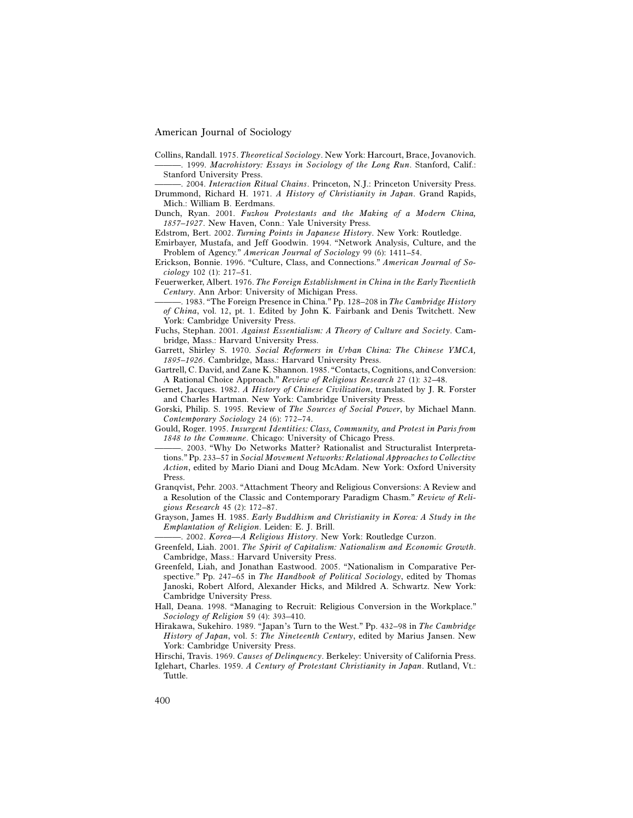- Collins, Randall. 1975. *Theoretical Sociology*. New York: Harcourt, Brace, Jovanovich. 1999. Macrohistory: Essays in Sociology of the Long Run. Stanford, Calif.: Stanford University Press.
- ———. 2004. *Interaction Ritual Chains*. Princeton, N.J.: Princeton University Press. Drummond, Richard H. 1971. *A History of Christianity in Japan*. Grand Rapids, Mich.: William B. Eerdmans.
- Dunch, Ryan. 2001. *Fuzhou Protestants and the Making of a Modern China, 1857–1927*. New Haven, Conn.: Yale University Press.
- Edstrom, Bert. 2002. *Turning Points in Japanese History*. New York: Routledge.
- Emirbayer, Mustafa, and Jeff Goodwin. 1994. "Network Analysis, Culture, and the Problem of Agency." *American Journal of Sociology* 99 (6): 1411–54.
- Erickson, Bonnie. 1996. "Culture, Class, and Connections." *American Journal of Sociology* 102 (1): 217–51.
- Feuerwerker, Albert. 1976. *The Foreign Establishment in China in the Early Twentieth Century*. Ann Arbor: University of Michigan Press.
- ———. 1983. "The Foreign Presence in China." Pp. 128–208 in *The Cambridge History of China*, vol. 12, pt. 1. Edited by John K. Fairbank and Denis Twitchett. New York: Cambridge University Press.
- Fuchs, Stephan. 2001. *Against Essentialism: A Theory of Culture and Society*. Cambridge, Mass.: Harvard University Press.
- Garrett, Shirley S. 1970. *Social Reformers in Urban China: The Chinese YMCA, 1895–1926*. Cambridge, Mass.: Harvard University Press.
- Gartrell, C. David, and Zane K. Shannon. 1985. "Contacts, Cognitions, and Conversion: A Rational Choice Approach." *Review of Religious Research* 27 (1): 32–48.
- Gernet, Jacques. 1982. *A History of Chinese Civilization*, translated by J. R. Forster and Charles Hartman. New York: Cambridge University Press.
- Gorski, Philip. S. 1995. Review of *The Sources of Social Power*, by Michael Mann. *Contemporary Sociology* 24 (6): 772–74.
- Gould, Roger. 1995. *Insurgent Identities: Class, Community, and Protest in Paris from 1848 to the Commune*. Chicago: University of Chicago Press.
- 2003. "Why Do Networks Matter? Rationalist and Structuralist Interpretations." Pp. 233–57 in *Social Movement Networks: Relational Approaches to Collective Action*, edited by Mario Diani and Doug McAdam. New York: Oxford University Press.
- Granqvist, Pehr. 2003. "Attachment Theory and Religious Conversions: A Review and a Resolution of the Classic and Contemporary Paradigm Chasm." *Review of Religious Research* 45 (2): 172–87.
- Grayson, James H. 1985. *Early Buddhism and Christianity in Korea: A Study in the Emplantation of Religion*. Leiden: E. J. Brill.
	- ———. 2002. *Korea—A Religious History*. New York: Routledge Curzon.
- Greenfeld, Liah. 2001. *The Spirit of Capitalism: Nationalism and Economic Growth*. Cambridge, Mass.: Harvard University Press.
- Greenfeld, Liah, and Jonathan Eastwood. 2005. "Nationalism in Comparative Perspective." Pp. 247–65 in *The Handbook of Political Sociology*, edited by Thomas Janoski, Robert Alford, Alexander Hicks, and Mildred A. Schwartz. New York: Cambridge University Press.
- Hall, Deana. 1998. "Managing to Recruit: Religious Conversion in the Workplace." *Sociology of Religion* 59 (4): 393–410.
- Hirakawa, Sukehiro. 1989. "Japan's Turn to the West." Pp. 432–98 in *The Cambridge History of Japan*, vol. 5: *The Nineteenth Century*, edited by Marius Jansen. New York: Cambridge University Press.

Hirschi, Travis. 1969. *Causes of Delinquency*. Berkeley: University of California Press. Iglehart, Charles. 1959. *A Century of Protestant Christianity in Japan*. Rutland, Vt.: Tuttle.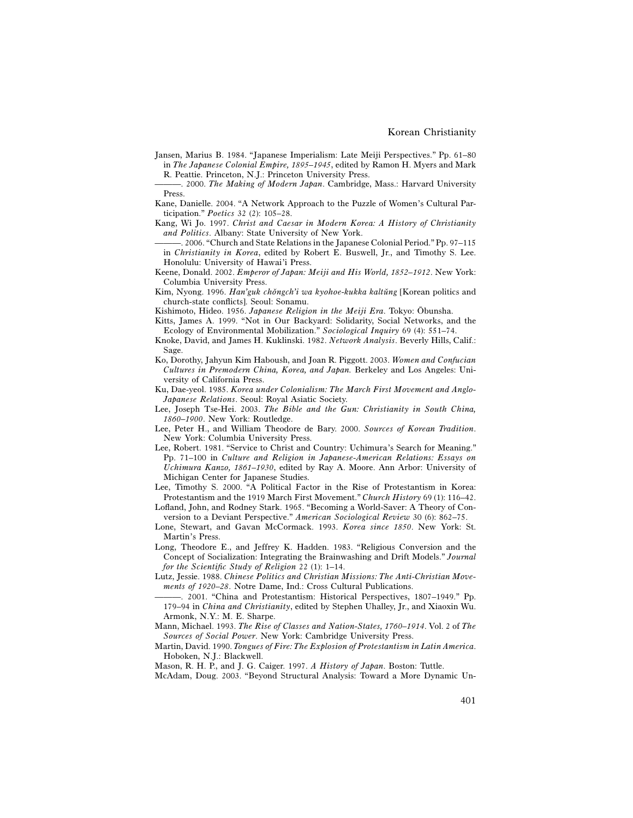- Jansen, Marius B. 1984. "Japanese Imperialism: Late Meiji Perspectives." Pp. 61–80 in *The Japanese Colonial Empire, 1895–1945*, edited by Ramon H. Myers and Mark R. Peattie. Princeton, N.J.: Princeton University Press.
	- ———. 2000. *The Making of Modern Japan*. Cambridge, Mass.: Harvard University Press.
- Kane, Danielle. 2004. "A Network Approach to the Puzzle of Women's Cultural Participation." *Poetics* 32 (2): 105–28.
- Kang, Wi Jo. 1997. *Christ and Caesar in Modern Korea: A History of Christianity and Politics*. Albany: State University of New York.
- ———. 2006. "Church and State Relations in the Japanese Colonial Period." Pp. 97–115 in *Christianity in Korea*, edited by Robert E. Buswell, Jr., and Timothy S. Lee. Honolulu: University of Hawai'i Press.
- Keene, Donald. 2002. *Emperor of Japan: Meiji and His World, 1852–1912*. New York: Columbia University Press.
- Kim, Nyong. 1996. *Han'guk chǒngch'i wa kyohoe-kukka kaltǔng* [Korean politics and church-state conflicts]. Seoul: Sonamu.
- Kishimoto, Hideo. 1956. *Japanese Religion in the Meiji Era*. Tokyo: Ōbunsha.
- Kitts, James A. 1999. "Not in Our Backyard: Solidarity, Social Networks, and the Ecology of Environmental Mobilization." *Sociological Inquiry* 69 (4): 551–74.
- Knoke, David, and James H. Kuklinski. 1982. *Network Analysis*. Beverly Hills, Calif.: Sage.
- Ko, Dorothy, Jahyun Kim Haboush, and Joan R. Piggott. 2003. *Women and Confucian Cultures in Premodern China, Korea, and Japan.* Berkeley and Los Angeles: University of California Press.
- Ku, Dae-yeol. 1985. *Korea under Colonialism: The March First Movement and Anglo-Japanese Relations*. Seoul: Royal Asiatic Society.
- Lee, Joseph Tse-Hei. 2003. *The Bible and the Gun: Christianity in South China, 1860–1900*. New York: Routledge.
- Lee, Peter H., and William Theodore de Bary. 2000. *Sources of Korean Tradition*. New York: Columbia University Press.
- Lee, Robert. 1981. "Service to Christ and Country: Uchimura's Search for Meaning." Pp. 71–100 in *Culture and Religion in Japanese-American Relations: Essays on Uchimura Kanzo, 1861–1930*, edited by Ray A. Moore. Ann Arbor: University of Michigan Center for Japanese Studies.
- Lee, Timothy S. 2000. "A Political Factor in the Rise of Protestantism in Korea: Protestantism and the 1919 March First Movement." *Church History* 69 (1): 116–42.
- Lofland, John, and Rodney Stark. 1965. "Becoming a World-Saver: A Theory of Conversion to a Deviant Perspective." *American Sociological Review* 30 (6): 862–75.
- Lone, Stewart, and Gavan McCormack. 1993. *Korea since 1850*. New York: St. Martin's Press.
- Long, Theodore E., and Jeffrey K. Hadden. 1983. "Religious Conversion and the Concept of Socialization: Integrating the Brainwashing and Drift Models." *Journal for the Scientific Study of Religion* 22 (1): 1–14.
- Lutz, Jessie. 1988. *Chinese Politics and Christian Missions: The Anti-Christian Movements of 1920–28*. Notre Dame, Ind.: Cross Cultural Publications.
- -. 2001. "China and Protestantism: Historical Perspectives, 1807-1949." Pp. 179–94 in *China and Christianity*, edited by Stephen Uhalley, Jr., and Xiaoxin Wu. Armonk, N.Y.: M. E. Sharpe.
- Mann, Michael. 1993. *The Rise of Classes and Nation-States, 1760–1914*. Vol. 2 of *The Sources of Social Power*. New York: Cambridge University Press.
- Martin, David. 1990. *Tongues of Fire: The Explosion of Protestantism in Latin America*. Hoboken, N.J.: Blackwell.
- Mason, R. H. P., and J. G. Caiger. 1997. *A History of Japan*. Boston: Tuttle.
- McAdam, Doug. 2003. "Beyond Structural Analysis: Toward a More Dynamic Un-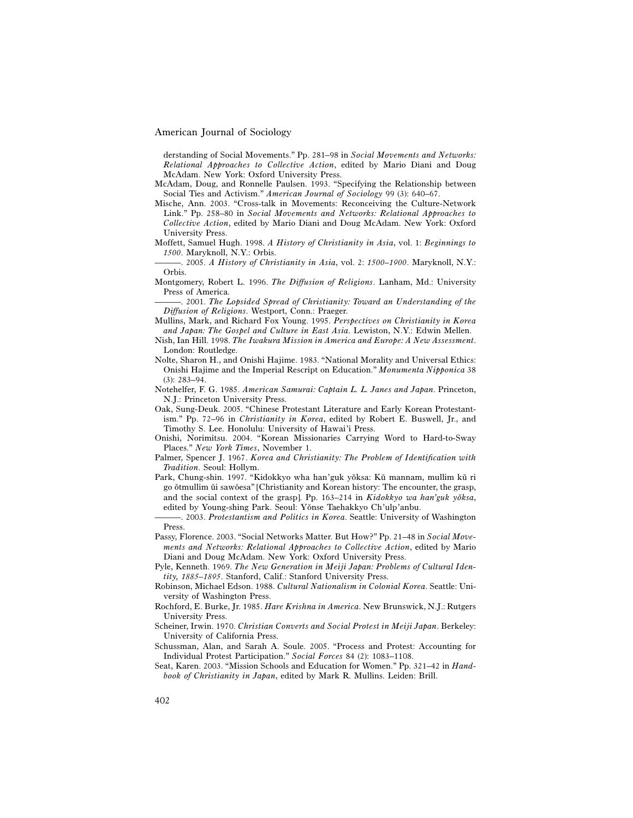derstanding of Social Movements." Pp. 281–98 in *Social Movements and Networks: Relational Approaches to Collective Action*, edited by Mario Diani and Doug McAdam. New York: Oxford University Press.

- McAdam, Doug, and Ronnelle Paulsen. 1993. "Specifying the Relationship between Social Ties and Activism." *American Journal of Sociology* 99 (3): 640–67.
- Mische, Ann. 2003. "Cross-talk in Movements: Reconceiving the Culture-Network Link." Pp. 258–80 in *Social Movements and Networks: Relational Approaches to Collective Action*, edited by Mario Diani and Doug McAdam. New York: Oxford University Press.
- Moffett, Samuel Hugh. 1998. *A History of Christianity in Asia*, vol. 1: *Beginnings to 1500*. Maryknoll, N.Y.: Orbis.
- ———. 2005. *A History of Christianity in Asia*, vol. 2: *1500–1900*. Maryknoll, N.Y.: Orbis.
- Montgomery, Robert L. 1996. *The Diffusion of Religions*. Lanham, Md.: University Press of America.

———. 2001. *The Lopsided Spread of Christianity: Toward an Understanding of the Diffusion of Religions*. Westport, Conn.: Praeger.

- Mullins, Mark, and Richard Fox Young. 1995. *Perspectives on Christianity in Korea and Japan: The Gospel and Culture in East Asia*. Lewiston, N.Y.: Edwin Mellen.
- Nish, Ian Hill. 1998. *The Iwakura Mission in America and Europe: A New Assessment*. London: Routledge.
- Nolte, Sharon H., and Onishi Hajime. 1983. "National Morality and Universal Ethics: Onishi Hajime and the Imperial Rescript on Education." *Monumenta Nipponica* 38  $(3)$ : 283–94
- Notehelfer, F. G. 1985. *American Samurai: Captain L. L. Janes and Japan*. Princeton, N.J.: Princeton University Press.
- Oak, Sung-Deuk. 2005. "Chinese Protestant Literature and Early Korean Protestantism." Pp. 72–96 in *Christianity in Korea*, edited by Robert E. Buswell, Jr., and Timothy S. Lee. Honolulu: University of Hawai'i Press.
- Onishi, Norimitsu. 2004. "Korean Missionaries Carrying Word to Hard-to-Sway Places." *New York Times*, November 1.
- Palmer, Spencer J. 1967. *Korea and Christianity: The Problem of Identification with Tradition*. Seoul: Hollym.
- Park, Chung-shin. 1997. "Kidokkyo wha han'guk yŏksa: Kǔ mannam, mullim kǔ ri go ŏtmullim ŭi sawŏesa" [Christianity and Korean history: The encounter, the grasp, and the social context of the grasp]. Pp. 163–214 in *Kidokkyo wa han'guk yŏksa*, edited by Young-shing Park. Seoul: Yŏnse Taehakkyo Ch'ulp'anbu.
- ———. 2003. *Protestantism and Politics in Korea*. Seattle: University of Washington Press.
- Passy, Florence. 2003. "Social Networks Matter. But How?" Pp. 21–48 in *Social Movements and Networks: Relational Approaches to Collective Action*, edited by Mario Diani and Doug McAdam. New York: Oxford University Press.
- Pyle, Kenneth. 1969. *The New Generation in Meiji Japan: Problems of Cultural Identity, 1885–1895*. Stanford, Calif.: Stanford University Press.
- Robinson, Michael Edson. 1988. *Cultural Nationalism in Colonial Korea*. Seattle: University of Washington Press.
- Rochford, E. Burke, Jr. 1985. *Hare Krishna in America*. New Brunswick, N.J.: Rutgers University Press.
- Scheiner, Irwin. 1970. *Christian Converts and Social Protest in Meiji Japan*. Berkeley: University of California Press.
- Schussman, Alan, and Sarah A. Soule. 2005. "Process and Protest: Accounting for Individual Protest Participation." *Social Forces* 84 (2): 1083–1108.
- Seat, Karen. 2003. "Mission Schools and Education for Women." Pp. 321–42 in *Handbook of Christianity in Japan*, edited by Mark R. Mullins. Leiden: Brill.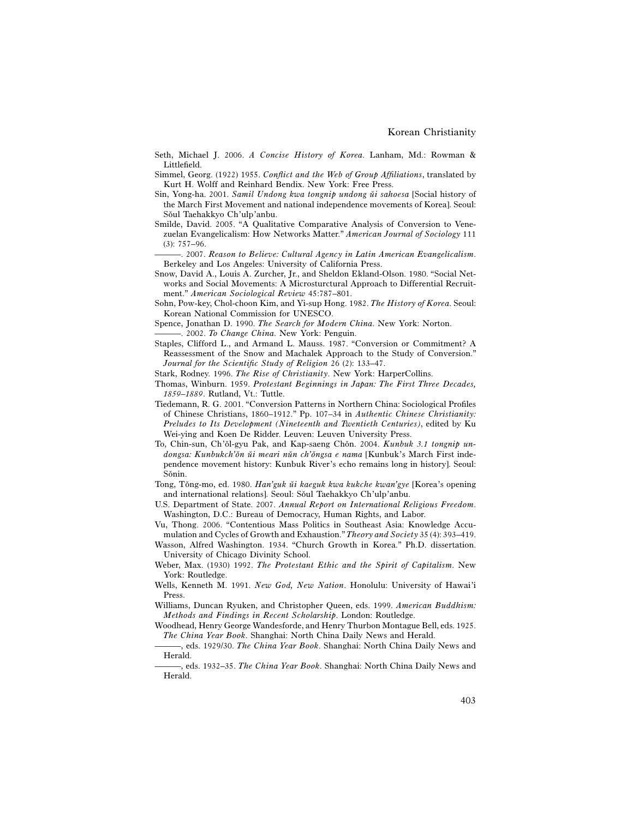- Seth, Michael J. 2006. *A Concise History of Korea*. Lanham, Md.: Rowman & Littlefield.
- Simmel, Georg. (1922) 1955. *Conflict and the Web of Group Affiliations*, translated by Kurt H. Wolff and Reinhard Bendix. New York: Free Press.
- Sin, Yong-ha. 2001. Samil Undong kwa tongnip undong ŭi sahoesa [Social history of the March First Movement and national independence movements of Korea]. Seoul: Sŏul Taehakkyo Ch'ulp'anbu.
- Smilde, David. 2005. "A Qualitative Comparative Analysis of Conversion to Venezuelan Evangelicalism: How Networks Matter." *American Journal of Sociology* 111 (3): 757–96.
- ———. 2007. *Reason to Believe: Cultural Agency in Latin American Evangelicalism*. Berkeley and Los Angeles: University of California Press.
- Snow, David A., Louis A. Zurcher, Jr., and Sheldon Ekland-Olson. 1980. "Social Networks and Social Movements: A Microsturctural Approach to Differential Recruitment." *American Sociological Review* 45:787–801.
- Sohn, Pow-key, Chol-choon Kim, and Yi-sup Hong. 1982. *The History of Korea*. Seoul: Korean National Commission for UNESCO.
- Spence, Jonathan D. 1990. *The Search for Modern China*. New York: Norton.
- ———. 2002. *To Change China*. New York: Penguin.
- Staples, Clifford L., and Armand L. Mauss. 1987. "Conversion or Commitment? A Reassessment of the Snow and Machalek Approach to the Study of Conversion." *Journal for the Scientific Study of Religion* 26 (2): 133–47.
- Stark, Rodney. 1996. *The Rise of Christianity*. New York: HarperCollins.
- Thomas, Winburn. 1959. *Protestant Beginnings in Japan: The First Three Decades, 1859–1889*. Rutland, Vt.: Tuttle.
- Tiedemann, R. G. 2001. "Conversion Patterns in Northern China: Sociological Profiles of Chinese Christians, 1860–1912." Pp. 107–34 in *Authentic Chinese Christianity: Preludes to Its Development (Nineteenth and Twentieth Centuries)*, edited by Ku Wei-ying and Koen De Ridder. Leuven: Leuven University Press.
- To, Chin-sun, Ch'ŏl-gyu Pak, and Kap-saeng Chŏn. 2004. *Kunbuk 3.1 tongnip undongsa: Kunbukch'oˇn uˇi meari nuˇn ch'oˇngsa e nama* [Kunbuk's March First independence movement history: Kunbuk River's echo remains long in history]. Seoul: Sŏnin.
- Tong, Tŏng-mo, ed. 1980. *Han'guk ǔi kaeguk kwa kukche kwan'gye* [Korea's opening and international relations]. Seoul: Sŏul Taehakkyo Ch'ulp'anbu.
- U.S. Department of State. 2007. *Annual Report on International Religious Freedom*. Washington, D.C.: Bureau of Democracy, Human Rights, and Labor.
- Vu, Thong. 2006. "Contentious Mass Politics in Southeast Asia: Knowledge Accumulation and Cycles of Growth and Exhaustion." *Theory and Society* 35 (4): 393–419.
- Wasson, Alfred Washington. 1934. "Church Growth in Korea." Ph.D. dissertation. University of Chicago Divinity School.
- Weber, Max. (1930) 1992. *The Protestant Ethic and the Spirit of Capitalism*. New York: Routledge.
- Wells, Kenneth M. 1991. *New God, New Nation*. Honolulu: University of Hawai'i Press.
- Williams, Duncan Ryuken, and Christopher Queen, eds. 1999. *American Buddhism: Methods and Findings in Recent Scholarship*. London: Routledge.
- Woodhead, Henry George Wandesforde, and Henry Thurbon Montague Bell, eds. 1925. *The China Year Book*. Shanghai: North China Daily News and Herald.
- ———, eds. 1929/30. *The China Year Book*. Shanghai: North China Daily News and Herald.
- ———, eds. 1932–35. *The China Year Book*. Shanghai: North China Daily News and Herald.